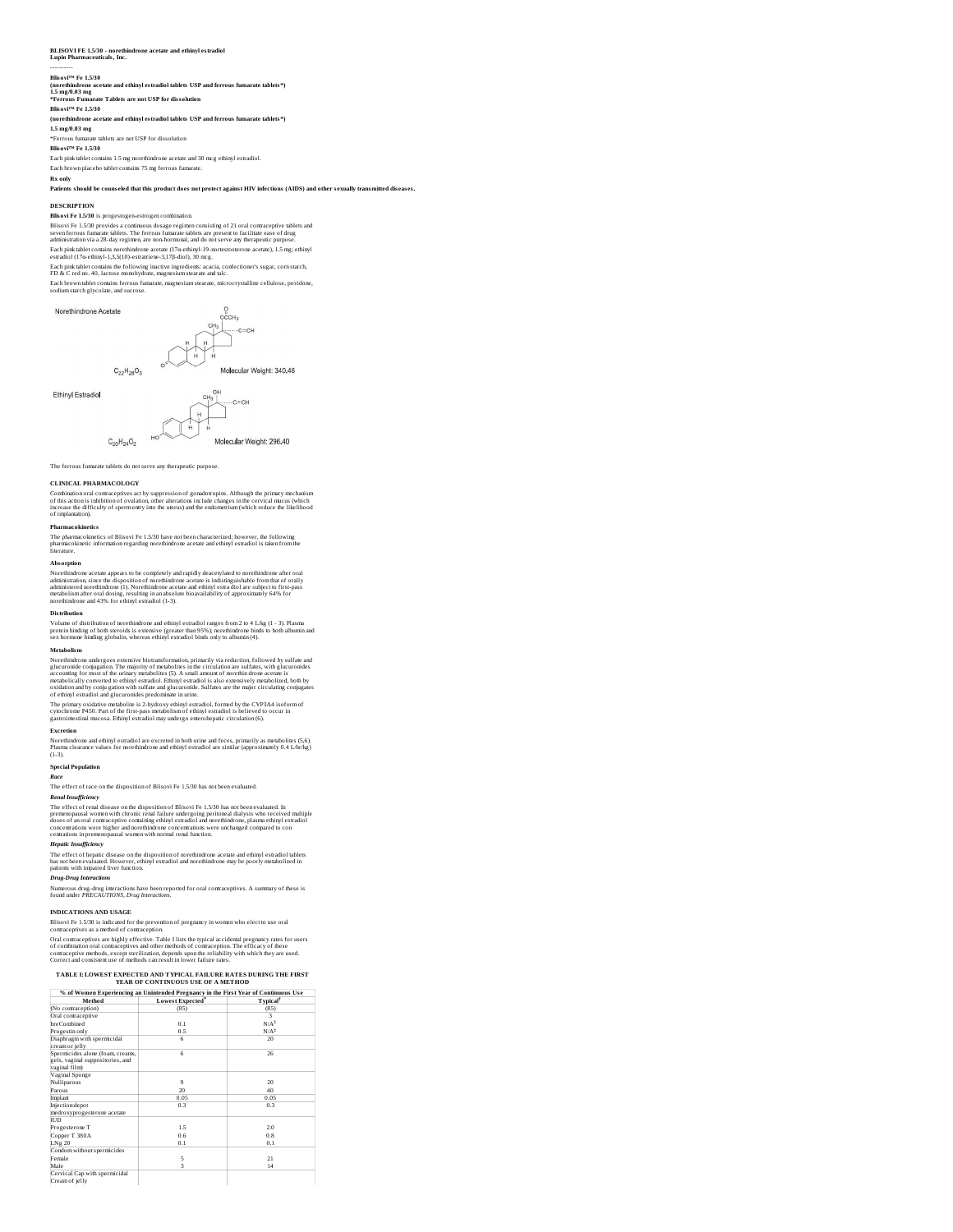**BLISOVI FE 1.5/30 - norethindrone acetate and ethinyl estradiol Lupin Pharmaceuticals, Inc.**

----------<br>Blisovi™ Fe 1.5/30<br>(norethindrone acetate and ethinyl estradiol tablets USP and ferrous fumarate tablets\*)<br>1.5 mg/0.03 mg **\*Ferrous Fumarate Tablets are not USP for dissolution**

**Blisovi™ Fe 1.5/30**

**(norethindrone acetate and ethinyl estradiol tablets USP and ferrous fumarate tablets\*) 1.5 mg/0.03 mg**

### \*Ferrous fumarate tablets are not USP for dissolution

**Blisovi™ Fe 1.5/30**

Each pink tablet contains 1.5 mg norethindrone acetate and 30 mcg ethinyl estradiol.<br>Each brown placebo tablet contains 75 mg ferrous fumarate.

## **Rx only**

Patients should be counseled that this product does not protect against HIV infections (AIDS) and other sexually transmitted diseases.

## **DESCRIPTION**

**Blisovi Fe 1.5/30** is progestogen-estrogen combination. Blisovi Fe 1.5/30 provides a continuous dosage regimen consisting of 21 oral contraceptive tablets and<br>seven ferrous fumarate tablets. The ferrous fumarate tablets are present to facilitate ease of drug<br>administration via Each pink tablet contains norethindrone acetate (17α-ethinyl-19-nortestosterone acetate), 1.5 mg; ethinyl<br>estradiol (17α-ethinyl-1,3,5(10)-estratriene-3,17β-diol), 30 mcg. Each pink tablet contains the following inactive ingredients: acacia, confectioner's sugar, corn starch,<br>FD & C red no. 40, lactose monohydrate, magnesium stearate and talc. Each brown tablet contains ferrous fumarate, magnesium stearate, microcrystalline cellulose, povidone,<br>sodium starch glycolate, and sucrose.

### Norethindrone Acetate

 $\begin{picture}(120,110) \put(0,0){\line(1,0){10}} \put(15,0){\line(1,0){10}} \put(15,0){\line(1,0){10}} \put(15,0){\line(1,0){10}} \put(15,0){\line(1,0){10}} \put(15,0){\line(1,0){10}} \put(15,0){\line(1,0){10}} \put(15,0){\line(1,0){10}} \put(15,0){\line(1,0){10}} \put(15,0){\line(1,0){10}} \put(15,0){\line(1,0){10}} \put(15,0){\line$  $C = C$ H Molecular Weight: 340.46  $C_{22}H_{28}O_3$ 

Ethinyl Estradiol



Molecular Weight: 296.40

The ferrous fumarate tablets do not serve any therapeutic purpose.

 $C_{20}H_{24}O_2$ 

### **CLINICAL PHARMACOLOGY**

Combination oral contraceptives act by suppression of gonadotropins. Although the primary mechanism<br>of this action is inhibition of ovulation, other alterations include changes in the cervical mucus (which<br>increase the dif  $% \begin{tabular}{l} \hline \textbf{increase} & \textbf{u} & \textbf{u} \\ \textbf{of } \textbf{implantation}. \end{tabular}$ 

### **Pharmacokinetics**

The pharmacokinetics of Blisovi Fe 1.5/30 have not been characterized; however, the following pharmacokinetic information regarding norethindrone acetate and ethinyl estradiol is taken from the literature.

### **Absorption**

Norethindrone acetate appears to be completely and rapidly deacetylated to norethindrone after oral<br>administration, since the disposition of morehindrone acetate is indistinguishable from that of orally<br>administered morehi

### **Distribution**

Volume of distribution of norethindrone and ethinyl estradiol ranges from 2 to 4 L/kg (1 - 3). Plasma<br>protein binding of both steroids is extensive (greater than 95%); norethindrone binds to both albumin and<br>sex hormone bi

**Metabolism**<br>Norehindrone undergoes extensive biotransformation, primarily via reduction, followed by sulfate and<br>glucuronide conjugation. The majority of metabolites in the circulation are sulfates, with glucuronides<br>acco

The primary oxidative metabolite is 2-hydroxy ethinyl estradiol, formed by the CYP3A4 isoform of<br>cytochrome P450. Part of the first-pass metabolism of ethinyl estradiol is believed to occur in<br>gastrointestinal mucosa. Ethi

**Excretion**<br>Norethindrone and ethinyl estradiol are excreted in both urine and feces, primarily as metabolites (5,6).<br>Plasma clearance values for norethindrone and ethinyl estradiol are similar (approximately 0.4 L/hr/kg)<br>

### **Special Population**

*Race*

The effect of race on the disposition of Blisovi Fe 1.5/30 has not been evaluated. *Renal Insufficiency*

The effect of renal disease on the disposition of Blisovi Fe 1.5:00 has not been evaluated. In<br>premenopausal women with chronic renal failure undergoing perioneal dialysis who received multiple<br>doses of an oral contracepti

### *Hepatic Insufficiency*

The effect of hepatic disease on the disposition of norethindrone acetate and ethinyl estradiol tablets<br>has not been evaluated. However, ethinyl estradiol and norethindrone may be poorly metabolized in<br>patients with impair

*Drug-Drug Interactions* Numerous drug-drug interactions have been reported for oral contraceptives. A summary of these is found under *PRECAUTIONS, Drug Interactions*.

## **INDICATIONS AND USAGE**

Blisovi Fe 1.5/30 is indicated for the prevention of pregnancy in women who elect to use oral contraceptives as a method of contraception.

Oral contraceptives are highly effective. Table 1 lists the typical accidental pregnancy rates for users<br>of combination oral contraceptives and other methods of contraception. The efficacy of these<br>contraceptive methods, e

## **TABLE I:LOWEST EXPECTED AND TYPICAL FAILURE RATES DURING THE FIRST YEAR OF CONTINUOUS USE OF A METHOD**

| % of Women Experiencing an Unintended Pregnancy in the First Year of Continuous Use   |                              |                             |
|---------------------------------------------------------------------------------------|------------------------------|-----------------------------|
| Method                                                                                | Lowest Expected <sup>*</sup> | <b>Typical</b> <sup>†</sup> |
| (No contraception)                                                                    | (85)                         | (85)                        |
| Oral contraceptive                                                                    |                              | $\overline{\mathbf{3}}$     |
| breCombined                                                                           | 0.1                          | $N/A^{\ddagger}$            |
| Progestin only                                                                        | 0.5                          | $N/A^{\ddagger}$            |
| Diaphragm with spermicidal<br>cream or jelly                                          | 6                            | 20                          |
| Spermicides alone (foam, creams,<br>gels, vaginal suppositories, and<br>vaginal film) | 6                            | 26                          |
| Vaginal Sponge                                                                        |                              |                             |
| Nulliparous                                                                           | q                            | 20                          |
| Parous                                                                                | 20                           | 40                          |
| Implant                                                                               | 0.05                         | 0.05                        |
| Injection:depot<br>medroxyprogesterone acetate                                        | 0.3                          | 0.3                         |
| <b>TUD</b>                                                                            |                              |                             |
| Progesterone T                                                                        | 1.5                          | 2.0                         |
| Copper T 380A                                                                         | 0.6                          | 0.8                         |
| LNg 20                                                                                | 0.1                          | 0.1                         |
| Condom without spermicides                                                            |                              |                             |
| Female                                                                                | 5                            | 21                          |
| Male                                                                                  | 3                            | 14                          |
| Cervical Cap with spermicidal<br>Cream of jelly                                       |                              |                             |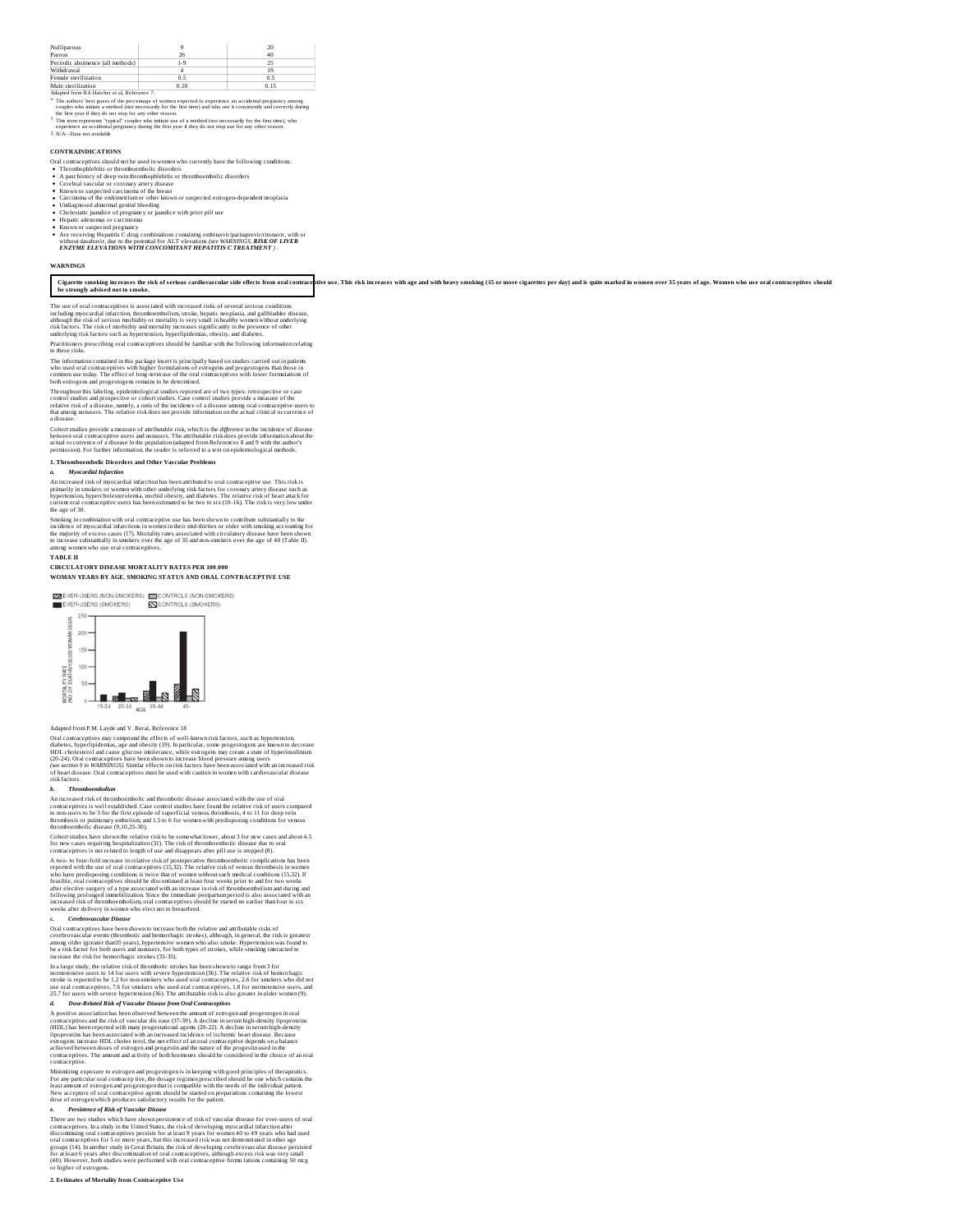| Nulliparous                                                                                               |      | 20   |
|-----------------------------------------------------------------------------------------------------------|------|------|
| Parous                                                                                                    | 26   | 40   |
| Periodic abstinence (all methods)                                                                         | 1-9  | 25   |
| Withdrawal                                                                                                |      | 19   |
| Female sterilization                                                                                      | 0.5  | 0.5  |
| Male sterilization                                                                                        | 0.10 | 0.15 |
| Adapted from RA Hatcher et al, Reference 7.                                                               |      |      |
| * The authors' best guess of the percentage of women expected to experience an accidental pregnancy among |      |      |

The authors' best guess of the percentage of women expected to experience an accidental pregnancy among<br>couples who initiate a method (not necessarily for the first time) and who use it consistently and correctly during<br>th

† ‡ N/A--Data not availableThis term represents "typical" couples who initiate use of a method (not necessarily for the first time), who experience an accidental pregnancy during the first year if they do not stop use for any other reason.

 $\begin{array}{ll} \textbf{CONTR AND} & \textbf{COR} \\ \textbf{Ord} & \textbf{cor} \\ \textbf{Ord} & \textbf{cor} \\ \textbf{Ord} & \textbf{cor} \\ \textbf{4.} & \textbf{C.} \\ \textbf{4.} & \textbf{C.} \\ \textbf{4.} & \textbf{C.} \\ \textbf{5.} & \textbf{C.} \\ \textbf{6.} & \textbf{C.} \\ \textbf{7.} & \textbf{C.} \\ \textbf{8.} & \textbf{C.} \\ \textbf{9.} & \textbf{C.} \\ \textbf{1.} & \textbf{C.} \\ \textbf{1.} & \text$ 

- 
- 
- 
- Carcinoma of the endometrium or other known or suspected estrogen-dependent neoplasia<br>Undiagnosed abnormal genital bleeding<br>Cholestatic jaundice of pregnancy or jaundice with prior pill use<br>Hepatic adenomas or carcinomas<br>H
- 
- 

Known or suspected pregnancy<br>Are receiving Hepatitis C drug combinations containing ombitasvir/paritaprevir/ritonavir, with or<br>without dasabuvir, due to the potential for ALT elevations (see WARNINGS, RISK OF LIVER<br>ENZYME

### **WARNINGS**

e use. This risk increases with age and with heavy smoking (15 or more cigarettes per day) and is quite marked in women over 35 years of age. Women who use oral contraceptives should Cigarette smoking increases the risk of serious cardiovascular side effects from oral contra<br>be strongly advised not to smoke.

The use of oral contraceptives is associated with increased risks of several serious conditions<br>including myocardial infarction, thromboembolism, stroke, hepatic neoplasia, and gallbladder disease,<br>although the risk of ser

## Practitioners prescribing oral contraceptives should be familiar with the following information relating to these risks.

The information contained in this package insert is principally based on studies carried out in patients<br>who used oral contraceptives with higher formulations of estrogens and progestogens than those in<br>common use today. T

Throughout this labeling, epidemiological studies reported are of two types: retrospective or case<br>control studies and prospective or cohort studies. Case control studies provide a measure of the<br>relative risk of a disease

Cohort studies provide a measure of attributable risk, which is the *differenc*e in the incidence of disease<br>between oral contraceptive users and nonusers. The attributable risk does provide information about the<br>actual oc

### **1. Thromboembolic Disorders and Other Vas cular Problems**

## *a. Myocardial Infarction*

An increased risk of myocardial infarction has been autributed to oral contraceptive use. This risk is started<br>primarily in smokers or women with other underlying risk factors for coronary artery disease such as<br>hypertensi  $current$   $ota$ .<br>the age of 30.

Smoking in combination with oral contraceptive use has been shown to contribute substantially to the incidence of myocardial infarctions in women in their mid-thirties or older with smoking accounting for<br>the majority of excets cases (17). Mortality rates associated with circulatory disease have been shown<br>to increase sub

## **TABLE II**

**CIRCULATORY DISEASE MORTALITY RATES PER 100**,**000 WOMAN YEARS BY AGE**, **SMOKING STATUS AND ORAL CONTRACEPTIVE USE**

# ZZ EVER-USERS (NON-SMOKERS) CONTROLS (NON-SMOKERS)<br>EVER-USERS (SMOKERS) CONTROLS (SMOKERS)



Adapted from P.M. Layde and V. Beral, Reference 18

Cral contaceptives may compound the effects of well-known risk factors, such as hypertension, conceptives may compound the effects of vertex and checked and cause all cause all conserved in the street of the conservation o

### *b. Thromboembolism*

An increased risk of thromboembolic and thromboic disease associated with the use of oral<br>contraceptives is well established. Case control studies have found the relative risk of users compared<br>to non-users to be 3 for the

Cohort studies have shown the relative risk to be somewhat lower, about 3 for new cases and about 4.5<br>for new cases requiring hospitalization (31). The risk of thromboembolic disease due to oral<br>contraceptives is not relat

A two- to four-fold increase in relative risks of postoperative thromboembolic complications has been reported with the use of oral contraceptives (15,32). The relative risk of versous thrombosis in women<br>reported with th

C.<br>
Condromovescular Dieteses<br>
Condromovescular experiments and the relative and attributable risks of<br>
coreherovacular events (thrombotic and hemorrhagic strokes), although, in general, the risk is greatest<br>
among older (

In a large study, the relative risk of thrombotic strokes has been shown to range from 3 for<br>normotensive users to 14 for users with severe hypertension (36). The relative risk of themorrhagic<br>stroke is reported to be 1.2

 $d.$  Dose: Related Risks of Voscular Disease from Ord Contraceptives<br>A positive association has been observed between the amount of estrongen and progestogen in oral<br>A positive association has been observed between the am

Minimizing exposure to estrogen and progestogen is in keeping with good principles of therapeutics.<br>For amy particular oral contracep tive, the dosage regimen prescribed should be one which contains the<br>least amount of est

e.<br>There are two suidings which also also approximates the state of this divisor content and the state are two suidings which have shown persistence of trisk of vascular discapate for ever-users of oral disconducting the U (40). However, both st<br>or higher of estrogens.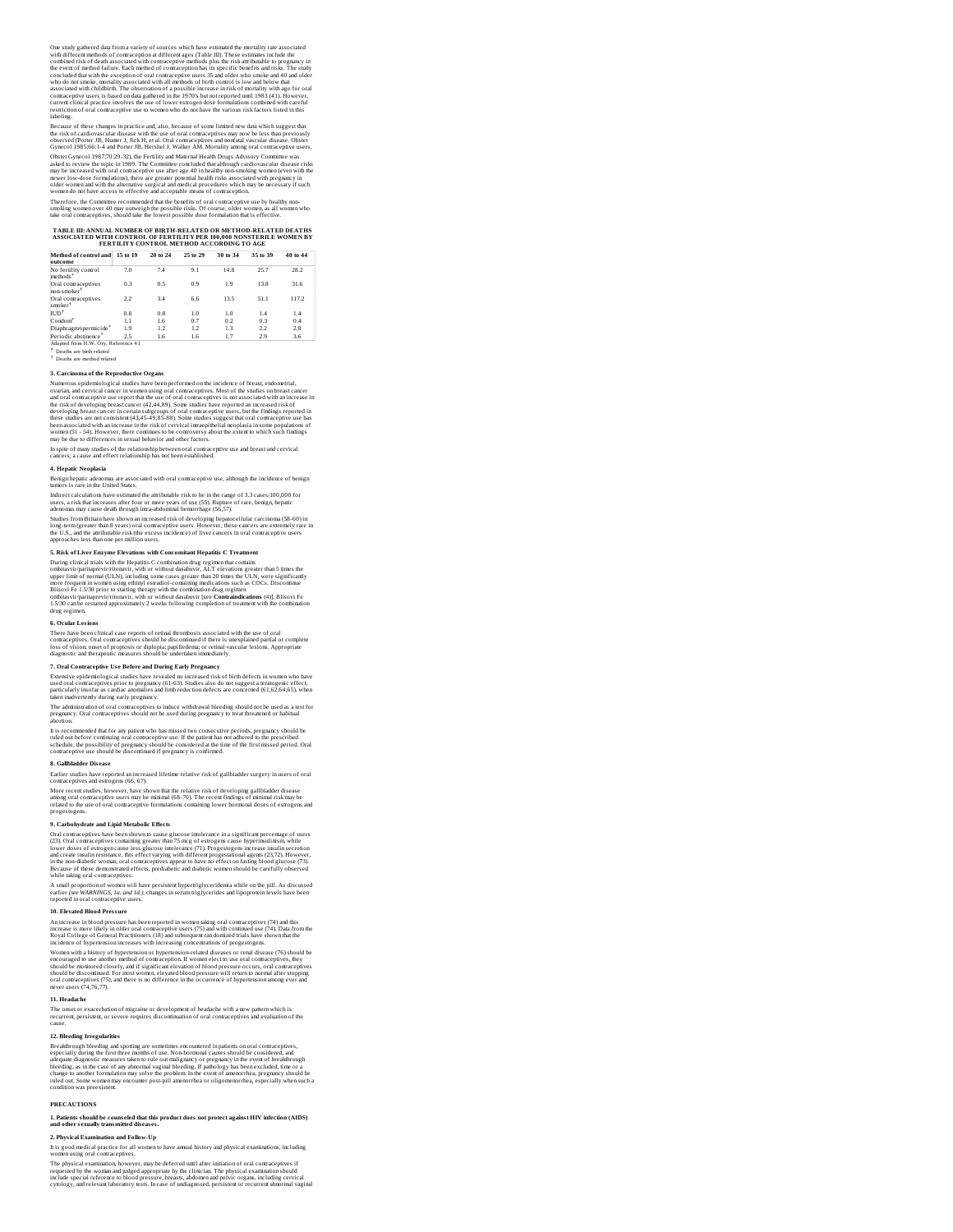One study gathered data from a variety of sources which have estimated the morality rate associated that for the model with different methods of contraception at different ages (Table III). These estimates include the pre

Because of these changes in practice and, also, because of some limited new data which suggest that<br>the risk of cardiovascular disease with the use of oral contraceptives may now be less than previously<br>observed (Porter JB

Obstet Gynecol 1987/7029-232), the Fertility and Matemal Health Drugs Advisory Committee was<br>skeled to review the topic in 1993. The Committee concluded that although cardiovascular disease risks<br>may be increased with ora

Therefore, the Committee recommended that the benefits of oral contraceptive use by healthy non-<br>smoking women over 40 may outweigh the possible risks. Of course, older women, as all women who<br>take oral contraceptives, sho

## TABLE III: ANNUAL NUMBER OF BIRTH-RELATED OR METHOD-RELATED DEATHS<br>ASSOCIATED WITH CONTROL OF FERTILITY PER 100,000 NONSTERILE WOMEN BY

| FERTILITY CONTROL METHOD ACCORDING TO AGE    |          |          |          |          |          |          |
|----------------------------------------------|----------|----------|----------|----------|----------|----------|
| Method of control and<br>outcome             | 15 to 19 | 20 to 24 | 25 to 29 | 30 to 34 | 35 to 39 | 40 to 44 |
| No fertility control<br>methods <sup>*</sup> | 7.0      | 7.4      | 9.1      | 14.8     | 25.7     | 28.2     |
| Oral contraceptives<br>non-smoker†           | 0.3      | 0.5      | 0.9      | 1.9      | 13.8     | 31.6     |
| Oral contraceptives<br>smoker†               | 22       | 34       | 6.6      | 13.5     | 51.1     | 117.2    |
| IUD <sup>†</sup>                             | 0.8      | 0.8      | 1.0      | 1.0      | 1.4      | 1.4      |
| Condom <sup>*</sup>                          | 11       | 1.6      | 0.7      | 0.2      | 0.3      | 0.4      |
| Diaphragm'spermicide <sup>*</sup>            | 1.9      | 12       | 12       | 13       | 22       | 2.8      |
| Periodic abstinence <sup>*</sup>             | 2.5      | 1.6      | 1.6      | 1.7      | 2.9      | 3.6      |
| Adapted from H.W. Orv. Reference 41          |          |          |          |          |          |          |
| " Deaths are birth related                   |          |          |          |          |          |          |
| <sup>†</sup> Deaths are method related       |          |          |          |          |          |          |

## **3. Carcinoma of the Reproductive Organs**

Numerous guide<br>material agrees that a constrained on the incidence of breads, endometrial,<br>moreovisa and cervical cancer in women using oral contraceptives. Most of the studies on hreast cancer<br>and radio constrained the u

In spite of many studies of the relationship between oral contraceptive use and breast and cervical cancers, a<br>cancers, a cause and effect relationship has not been established.

## **4. Hepatic Neoplasia**

Benign hepatic adenomas are associated with oral contraceptive use, although the incidence of benign tumors is rare in the United States.

Indirect calculations have estimated the attributable risk to be in the range of 3.3 cases/100,000 for<br>users, a risk that increases after four or more years of use (55). Rupture of rare, benign, hepatic<br>adenomas may cause

Studies from Britain have shown an increased risk of developing hepatocellular carcinoma (58-60) in<br>long-term (greater than 8 years) oral contraceptive users. However, these cancers are extremely rare in<br>the U.S., and the

## **5. Risk of Liver Enzyme Elevations with Concomitant Hepatitis C Treatment**

During clinical trials with the Hepatitis C combination drug regimes that contains with combination proper limit combination conditions that contains the state of the state and the state and the state and the state and the

### **6. Ocular Lesions**

There have been clinical case reports of retinal thrombosis associated with the use of oral<br>contraceptives. Oral contraceptives should be discontinued if there is unexplained partial or complete<br>loss of vision; onset of pr

**7. Oral Contraceptive Use Before and During Early Pregnancy**<br>Extensive epidemiological studies have revealed no increased risk of birth defects in women who have<br>used oral contraceptives prior to pregnancy (61-63). Studie particularly insofar as cardiac anomalies and limb reduction defects are concerned (61,62,64,65), when taken inadvertently during early pregnancy.

The administration of oral contraceptives to induce withdrawal bleeding should not be used as a test for<br>pregnancy. Oral contraceptives should not be used during pregnancy to treat threatened or habitual<br>abortion.

It is recommended that for any patient who has missed two consecutive periods, pregnancy should be<br>ruled out before continuing oral contraceptive use. If the patient has not adhered to the prescribed<br>schedule, the possibil

## **8. Gallbladder Dis eas e**

Earlier studies have reported an increased lifetime relative risk of gallbladder surgery in users of oral<br>contraceptives and estrogens (66, 67).

More recent studies, however, have shown that the relative risk of developing gallbladder disease<br>among oral contraceptive users may be minimal (68-70). The recent findings of minimal risk may be<br>related to the use of oral

### **9. Carbohydrate and Lipid Metabolic Effects**

Cral contraceptives have been shown to cause glucose into learner an a significant percentage of users<br>(23). Oral contraceptives containing greater than 75 mcg of estrogens cause hyperimalinism, while<br>lower doses of estrog

A small proportion of women will have persistent hypertriglyceridemia while on the pill. As discussed<br>earlier (see WARN/NGS, 1a. and 1d.), changes in serum triglycerides and lipoprotein levels have been<br>reported in oral co

10. Elevated Blood Pressure has been reported in women taking oral contraceptives (74) and this characteristic and the contemporation of the contemporation of the form of the pressure in the line of the pressure of  $(3)$ 

### **11. Headache**

The onset or exacerbation of migraine or development of headache with a new pattern which is recurrent, persistent, or severe requires discontinuation of oral contraceptives and evaluation of the cause.

### **12. Bleeding Irregularities**

Breakdrough bleeding and spoting are sometimes encountered in patients on oral contraceptives,<br>especially during the first three months of tuse. Non-hormonal causes should be considered, and<br>adequate diagnostic measures al

### **PRECAUTIONS**

1. Patients should be counseled that this product does not protect against HIV infection (AIDS)<br>and other sexually transmitted diseases.

## **2. Physical Examination and Follow-Up**

It is good medical practice for all women to have annual history and physical examinations, including<br>women using oral contraceptives.

The physical examination, however, may be deferred until after initiation of oral contraceptives if<br>requested by the woman and judged appropriate by the clinician. The physical examination should<br>include special reference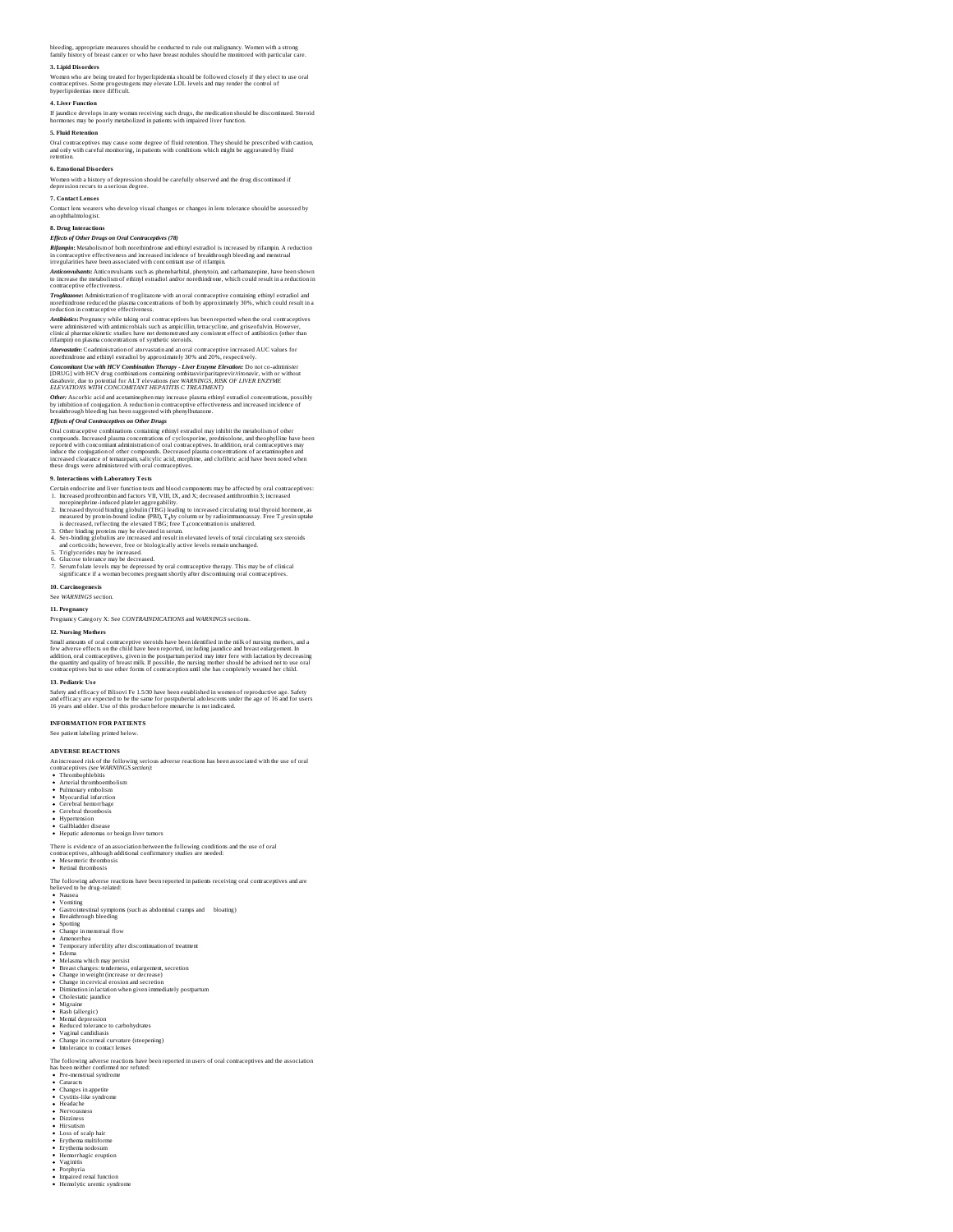bleeding, appropriate measures should be conducted to rule out malignancy. Women with a strong family history of breast cancer or who have breast nodules should be monitored with particular care.

## **3. Lipid Disorders**

Women who are being treated for hyperlipidemia should be followed closely if they elect to use oral<br>contraceptives. Some progestogens may elevate LDL levels and may render the control of<br>hyperlipidemias more difficult.

### **4. Liver Function**

If jaundice develops in any woman receiving such drugs, the medication should be discontinued. Steroid hormones may be poorly metabolized in patients with impaired liver function.

## **5. Fluid Retention**

Oral contraceptives may cause some degree of fluid retention. They should be prescribed with caution,<br>and only with careful monitoring, in patients with conditions which might be aggravated by fluid

### retention. **6. Emotional Disorders**

Women with a history of depression should be carefully observed and the drug discontinued if<br>depression recurs to a serious degree.

**7. Contact Lens es** Contact lens wearers who develop visual changes or changes in lens tolerance should be assessed by

### an ophthalmologist. **8. Drug Interactions**

*Effects of Other Drugs on Oral Contraceptives (78)*

*Rifampin*: Metabolism of both norethindrone and ethinyl estradiol is increased by rifampin. A reduction<br>in contraceptive effectiveness and increased incidence of breakhrough bleeding and menstrual<br>irregularities have been

**Anticonvulsants:** Anticonvulsants such as phenobarbital, phenytoin, and carbamazepine, have been shown<br>to increase the metabolism of ethinyl estradiol and/or norethindrone, which could result in a reduction in<br>contracepti

**Troglitazone:** Administration of troglitazone with an oral contraceptive containing ethinyl estradiol and<br>norethindrone reduced the plasma concentrations of both by approximately 30%, which could result in a<br>reduction in

**Antibiotics:** Pregnancy while taking oral contraceptives has been reported when the oral contraceptives<br>were administered with antimicrobials such as ampicillin, tetracycline, and griseofulvin. However,<br>clinical pharmacok

**Atowsstain**: Coadministration of atoryastain and an oral contraceptive increased AUC values for<br>morehiations and ethinyl estratiol by approximately 30% and 20%, respectively.<br>Concomitant Use with HCV Combinations rotatini

**Other:** Ascorbic acid and acetaminophen may increase plasma ethinyl estradiol concentrations, possibly<br>by inhibition of conjugation. A reduction in contraceptive effectiveness and increased incidence of<br>breakhrough bleedi

Effects of Oral Contraceptives on Other Drugs<br>Cral Contract periodic system is a property constanting entiry estination may inhibit the metabolism of other<br>compounds. Increased plasma concentrations of cyclosporine, predia

- **9.** Interactions with Laboratory Tests<br>  $\mathbf{S}$  and blood components may be affected by oral contraceptives:<br>
1. Increased problim only the stress and blood components may be affected by oral contraceptives:<br>
1. Increas  $_4$ by column or by radioimmunoassay. Free T $_3$ res<br>free T $_4$ concentration is unaltered.
- 
- 
- 
- 6. Glucose tolerance may be decreased.<br>7. Serum folate levels may be depressed by oral contraceptive therapy. This may be of clinical significance i<br>significance if a woman becomes pregnant shortly after discontinuing or

## **10. Carcinogenesis**

See *WARNINGS* se

**11. Pregnancy**

Pregnancy Category X: See *CONTRAINDICATIONS* and *WARNINGS* sections.

## **12. Nursing Mothers**

Small amounts of oral contraceptive steroids have been identified in the milk of nursing mothers, and a<br>few adverse effects on the child have been reported, including jaundice and breast enlargement. In<br>dadition, oral cont

## **13. Pediatric Us e**

Safety and efficacy of Blisovi Fe 1.5/30 have been established in women of reproductive age. Safety<br>and efficacy are expected to be the same for postpubertal adolescents under the age of 16 and for users<br>16 years and older

**INFORMATION FOR PATIENTS** See patient labeling printed belo

**ADVERSE REACTIONS**<br>An increased risk of the following serious adverse reactions has been associated with the use of oral contraceptives *(see WARNINGS section):*<br>• Thrombophlebitis<br>• Thrombophlebitis

- 
- Arterial thromboembolism
- 
- Pulmonary embolism<br>Myocardial infarction<br>Cerebral hemorrhage<br>Cerebral thrombosis
- 
- 
- 

Hypertension<br>Gallbladder disease<br>Hepatic adenomas or benign liver tumors

## There is evidence of an association between the following conditions and the use of oral<br>contraceptives, although additional confirmatory studies are needed:

Mesenteric thrombosis Retinal thrombosis

The following adverse reactions have been reported in patients receiving oral contraceptives and are<br>believed to be drug-related: Nausea Vomiting and are Nausea Vomiting Vomiting<br>• Vomiting

- 
- Gastrointestinal symptoms (such as abdominal cramps and bloating)<br>Breakthrough bleeding
- 
- Spotting Change in menstrual flow Amenorrhea Temporary infertility after discontinuation of treatment
- 
- Edema<br>Melasma which may persist<br>Breast changes: tenderness, enlargement, secretion
- 
- 
- Change in weight (increase or decrease)<br>Change in cervical erosion and secretion<br>Diminution in lactation when given immediately postpartum<br>Cholestatic jaundice
- 
- 
- 
- 
- Migraine<br>Rash (allergic)<br>Mental depression<br>Reduced tolerance to carbohydrates<br>Vaginal candidiasis<br>Change in corneal curvature (steepening)<br>Intolerance to contact lenses

# The following adverse reactions have been reported in users of oral contraceptives and the association<br>has been neither confirmed nor refuted:<br>• Pre-menstrual syndrome

- Cataracts
- 
- Changes in appetite<br>Cystitis-like syndrome<br>Headache<br>Nervousness<br>Dizziness
- 
- 
- Hirsutism Loss of scalp hair
- 
- Erythema multiforme Erythema nodosum Hemorrhagic eruption Vaginitis Porphyria
- 
- Impaired renal function Hemolytic uremic syndrome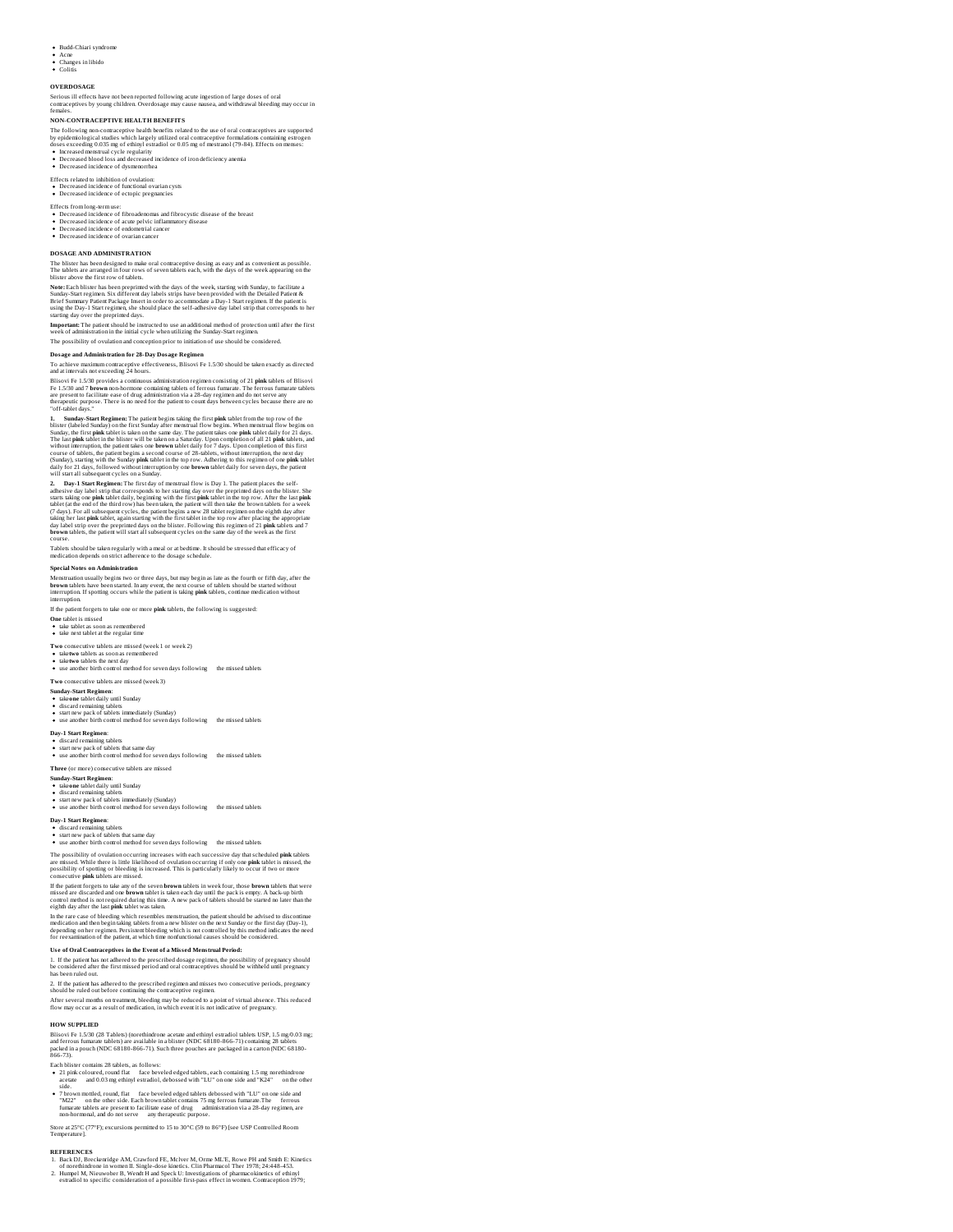- Budd-Chiari syndrome
- Acne Changes in libido Colitis
- 

## **OVERDOSAGE**

Serious ill effects have not been reported following acute ingestion of large doses of oral<br>contraceptives by young children. Overdosage may cause nausea, and withdrawal bleeding may occur in

## **NON-CONTRACEPTIVE HEALTH BENEFITS**

NON-CONTRACEPTIVE HEALTH BENEFITS<br>The following mon-contraceptive health benefits related to the use of oral contraceptives are supported<br>the following mon-contraceptive health benefits related to the set of calculations c

Effects related to inhibition of ovulation: Decreased incidence of functional ovarian cysts Decreased incidence of ectopic pregnancies

Effects from long-term use:<br>  $\bullet$  Decreased incidence of fibroadenoms and fibrocystic disease of the breast<br>  $\bullet$  Decreased incidence of acute pelvic inflammatory disease<br>  $\bullet$  Decreased incidence of endometrial cancer<br>

**DOSAGE AND ADMINISTRATION**

The blister has been designed to make oral contraceptive dosing as easy and as convenient as possible.<br>The tablets are arranged in four rows of seven tablets each, with the days of the week appearing on the<br>blister above t

**Note:** Each blister has been preprinted with the days of the week, starting with Sunday, to facilitate a<br>Sunday-Sunt regimen. Six different day labels strips have been provided with the Deailed Patient &<br>Brief Summary Pat

**Important:** The patient should be instructed to use an additional method of protection until after the first<br>week of administration in the initial cycle when utilizing the Sunday-Start regimen.

## The possibility of ovulation and conception prior to initiation of use should be considered.

**Dosage and Administration for 28-Day Dosage Regimen** To achieve maximum contraceptive effectiveness, Blisovi Fe 1.5/30 should be taken exactly as directed and at intervals not exceeding 24 hours.

Blisovi Fe 1.5/30 provides a continuous administration regimen consisting of 21 **pink** tablets of Blisovi<br>Fe 1.5/30 and 7 **brown** mon-hormore containing tablets of ferrous fumante. The ferrous fumante tablets<br>the rapeutic

1. Sunday-Start Regimen: The patient begins taking the first pink tablet from the top row of the<br>bilister (abeled Sunday) on the first Sunday after menstual flow begins. When menstual flow begins on<br>Sunday, the first plank

2. Day-1 Start Regiment: The first day of menstual flow is Day 1. The paired place seles.<br>
2. Day-1 Start Regiment The first day of menstual flow is Day 1. The paired place schemes the start starting one phik table daily,

Tablets should be taken regularly with a meal or at bedtime. It should be stressed that efficacy of<br>medication depends on strict adherence to the dosage schedule.

### **Special Notes on Administration**

Menstruation usually begins two or three days, but may begin as late as the fourth of fifth day, after the<br>b**rown** tablets have been started. In any event, the next course of tablets should be started without<br>interruption.

### If the patient forgets to take one or more **pink** tablets, the following is suggested:

**One** tablet is missed

## take tablet as soon as remembered take next tablet at the regular time

**Two** consecutive tablets are missed (week 1 or week 2)

take**two** tablets as soon as remembered<br>take**two** tablets the next day<br>use another birth control method for seven days following the missed tablets

### **Two** consecutive tablets are missed (week 3)

Sunday-Start Regimen:<br>● takeone tablet daily until Sunday<br>● discard remaining tablets<br>● start new pack of tablets immediately (Sunday)<br>● use another birth control method for seven days following the missed tablets<br>● use a

## **Day-1 Start Regimen**:

discard remaining tablets start new pack of tablets that same day use another birth control method for seven days following the missed tablets

**Three** (or more) consecutive tablets are missed

## **Sunday-Start Regimen**: take**one** tablet daily until Sunday

# discard remaining tablets<br>start new pack of tablets immediately (Sunday)<br>use another birth control method for seven days following the missed tablets

## **Day-1 Start Regimen:<br>• discard remaining tablets**

start new pack of tablets that same day<br>use another birth control method for seven days following the missed tablets

The possibility of ovulation occurring increases with each successive day that schedule**d pink** tablets<br>are missed, While there is little likelihood of ovulation occurring if only one **pink** tablet is missed, the<br>possibili

If the patient forgets to take any of the seven brown tablets in week four, those brown tablets that were<br>missed are discarded and one brown tablet is taken each day until the pack is empty. A back-up birth<br>control method

In the rare case of bleeding which resembles menstruation, the patient should be advised to discontinue<br>medication and then begin taking tablets from a new blister on the next Sunday or the first day (Day-1),<br>depending on

**Us e of Oral Contraceptives in the Event of a Miss ed Menstrual Period:**

1. If the patient has not adhered to the prescribed dosage regimen, the possibility of pregnancy should be considered after the first missed period and oral contraceptives should be withheld until pregnancy has been ruled out.

2. If the patient has adhered to the prescribed regimen and misses two consecutive periods, pregnancy should be ruled out before continuing the contraceptive regimen.

After several months on treatment, bleeding may be reduced to a point of virtual absence. This reduced flow may occur as a result of medication, in which event it is not indicative of pregnancy.

**HOW SUPPLIED**<br>and ferrous fumatate tablets) (norethindrone acetate and ethinyl estradiol tablets USP, 1.5 mg/0.03 mg;<br>and ferrous fumatate tablets) are available in a blister (NDC 68180-866-71) containing 28 tablets<br>packe 866-73).

- Each blister contains 28 tablets, as follows:<br>• 21 pink coloured, round flat face beveled edged tablets, each containing 1.5 mg norethindrone<br>• acetate and 0.03 mg ethinyl estradiol, debossed with "LU" on one side and
- side.<br>7 brown mottled, round, flat face beveled edged tablets debossed with "LU" on one side and<br>"M22" on the other side. Each brown tablet contains 75 mg ferrous furnarate.The ferrous<br>furnarate tables are present to facil
- Store at 25°C (77°F); excursions permitted to 15 to 30°C (59 to 86°F) [see USP Controlled Room Temperature].

## **REFERENCES**

- 1. Back DJ, Breckernidge AM, Crawford FE, Mclver FM, Crme ML'E, Rove PH and Smith E: Kineits of norethindrone in women II. Single-dose kinetics. Clin Pharmacol Ther 1978; 24:448-453.<br>2. Humpel M, Nieuwober B, Wendt H and S
-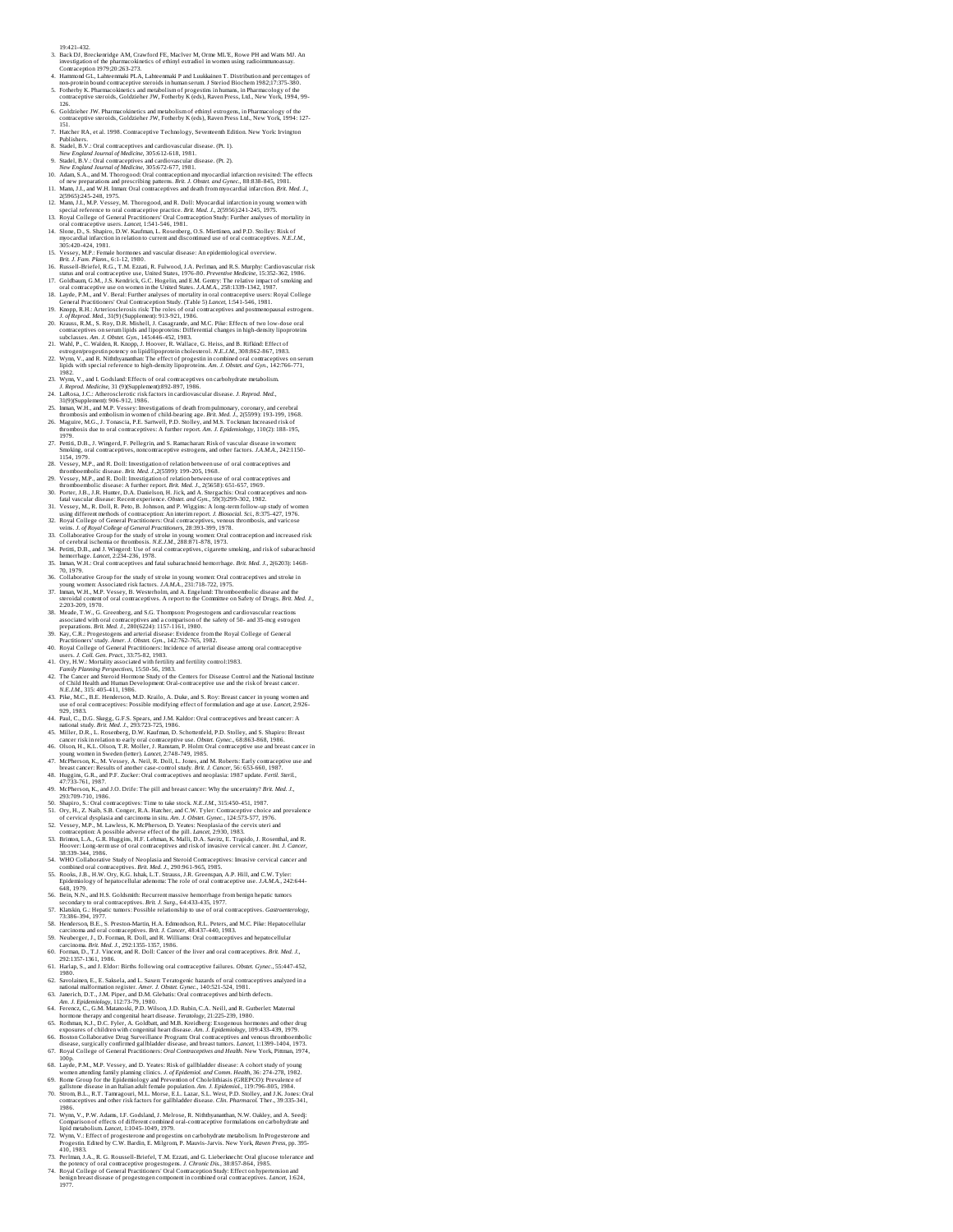- 19:421-432.<br>3. Back DJ, Breckenridge AM, Crawford FE, Maclver M, Orme ML'E, Rowe PH and Watts MJ. An investigation of the pharmacokinetics of ethinyl estradiol in women using radioimmunoassay.<br>Contraception 1979;20:263-273
- 
- 4. Hammond GL, Lahteermaki PLA, Lahteermaki P and Luukkainen T. Distribution and percentages of<br>mor-protein bound contraceptive steroids in human serum. J Steriod Biochem 1982;17:375-380.<br>5. Fotherby K. Pharmacokinetics an
- 126. 6. Goldzieher JW. Pharmacokinetics and metabolism of ethinyl estrogens, in Pharmacology of the contraceptive steroids, Goldzieher JW, Fotherby K (eds), Raven Press Ltd., New York, 1994: 127-
- 151.<br>7. Hatc 7. Hatcher RA, et al. 1998. Contraceptive Technology, Seventeenth Edition. New York: Irvington
- Publishers. 8. Stadel, B.V.: Oral contraceptives and cardiovascular disease. (Pt. 1). *New England Journal of Medicine*, 305:612-618, 1981.
- 9. Stadel, B.V.: Oral contraceptives and cardiovascular disease. (Pt. 2). *New England Journal of Medicine*, 305:672-677, 1981.
- 
- 10. Adam, S.A., and M. Thorogood. Oral contraception and myocardial inferction revisions: The effects of the weap results and prescribing patterns. Brit. A Obtate, and GWnet, 1883-1845, 1981.<br>
11. Adams, 1., and W.H. Huma
- 
- 
- 
- 
- 
- 
- 
- 
- oral contraceptive use on women in the United States. J.A.M.A., 253.1339-1342, 1987.<br>13. Layde, P.M., and V. Beral: Further analyses of mortality in oral contraceptive users: Royal College<br>General Practitioners' Oral Corr
- 
- 
- 23. Wynn, V., and I. Godsland: Effects of oral contraceptives on carbohydrate metabolism:<br>*J. Reprod. Medicine*, 31 (9)(Supplement):892-897, 1986.<br>24. LaRosa, J.C.: Atherosclerotic risk factors in cardiovascular disease.
- 
- 25. Imran, W.H., and M.P. Vessey: Investigations of death from pulmonary, coronary, and cerebral<br>thrombosis and embolism in women of child-bearing age. Brit. Med. J., 2(5599): 193-199, 1966.<br>26. Maguire, M.G., J. Tonascia,
- 1979. 27. Pettiti, D.B., J. Wingerd, F. Pellegrin, and S. Ramacharan: Risk of vascular disease in women:
- Smoking, oral contraceptives, monoturineeptive estrogens, and other factors. J.A.M.A., 242:1150-<br>
1154, 1979.<br>
28. Vessey, M.P., and R. Doll: Investigation of relation between use of oral contraceptives and<br>
thromboenholi
- 
- 
- 
- 
- 
- 33. Collaborative Group for the study of stroke in young women Oral contraception and increased risk<br>of cerebral ischemia or thrombosis. *N.E.J.M.*, 288:871-878, 1973.<br>At Petiti, D.B., and J. Wingerth: Use of oral contrac
- 
- 36. Collaborative Group for the study of stroke in young women: Oral contraceptives and stroke in<br>- young women: Associated risk factors. J.A.M.A., 231:718-722, 1975.<br>37. Inman, W.H., M.P. Vessey, B. Westerholm, and A. Eng
- 
- 
- 
- 
- 
- seroial contraceptives. A report to the Committee on Safety of Drugs. Brit. Med. J.,<br>2020-2031-001, 1970.<br>2020-2031-001, The correspondence and contraceptives and committed as a seroial contract reactions<br>Societies with o
- 
- 
- 
- 44 Paul,  $\zeta$ , D.C., Suegg, G.F.S., Spears, and J.M. Kaldor: Oral contraceptives and breast cancer: A<br>st5. Niller, D.R., L.R.Gorsberg, D.W. Kanfuran, D. Schotterield, P.D. Stollery, and S. Napiro: Direct Content Care car
- 
- 
- 
- 
- 51. Ory, H., Z. Naib, S.B. Conger, R.A. Hatcher, and C.W. Tyler: Contract<br>prive choice and prevalence of the control of the state of the state<br>of the control of the state of the state of the contract of the control of<br>the
- 
- 54. WHO Collaborative Study of Neoplasia and Steroid Contraceptives: Invasive cervical cancer and combined oral contraceptives. *Brit. Med. J.*, 290:961-965, 1985. 55. Rooks, J.B., H.W. Ory, K.G. Ishak, L.T. Strauss, J.R. Greenspan, A.P. Hill, and C.W. Tyler:
- Epidemiology of hepatocellular adenoma: The role of oral contraceptive use. J.A.M.A, 242:644-56. Bein, N.N.,and H.S. Goldkmith: Recurrent massive hermurks from benings hepatic musrs;<br>
57. Bein, N.N.,and H.S. Goldkmith: Re
- 
- 
- 
- 
- 
- 
- 
- 
- 
- 62. Savolainen, E., E. Sakela, and L. Saeren. Teratogette hazards of oral contraceptives analyzed in a midonal malformation register. Amer. J. Obstet Gynec, 140:521-524, 1981. Amer. Amer. J. D. Saeren, D. Amer. Amer. 2. A
- 
- 68 Layde, P.M., M.P. Vessey, and D. Yeats: Risk of gallbladder tiseases: A cohort study of young<br>women attending family planning clinics. *I. of Epidemiol. and Comm. Health*, 16: 274-278, 1982.<br>
9.89. Rome Croup for the Ep
- 
- 1986.<br>21. Wynn, V., P.W. Adams, I.F. Godsland, J. Melrose, R. Niththyananthan, N.W. Oakley, and A. Seedj:<br>Comparison of effects of different combined oral-contraceptive formulations on carbohydrate and<br>lipid metabolism. *L*
- 72. Wynn, V.: Effect of progesterone and progestins on carbohydrate metabolism. In Progesterone and Progestin. Edited by C.W. Bardin, E. Milgrom, P. Mauvis-Jarvis. New York, *Raven Press*, pp. 395-
- 
- 4 10, 1983.<br>
23. Perlman, J.A., R. G. Roussell-Briefel, T.M. Ezzaii, and G. Lieberknecht: Oral glucose tolerance and<br>
the potency of oral contraceptive progestogens. J. Chronic Dis, 38:857-864, 1985.<br>
24. Royal College of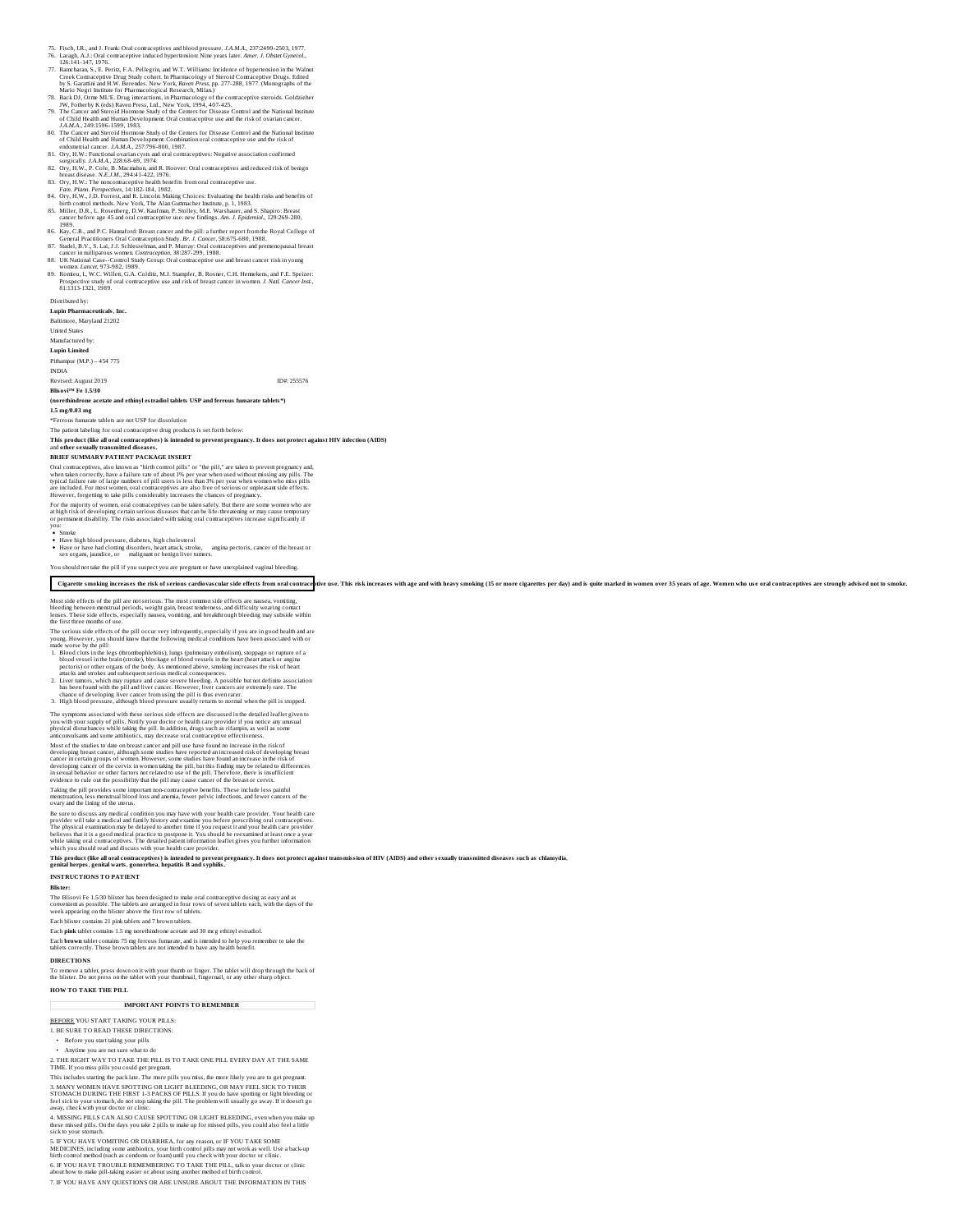- 
- 
- 75. Fisch, I.R., and J. Frank-Oral contraceptives and blood pressure. J.A.M.A., 237:2499-2503, 1977.<br>
76. Largel, A.J.: Oral contraceptive induced hypertension: Nine years later. Amer. J. Obstet Gynecol.<br>
126:141-147, 197
- 
- 
- 
- 
- 
- Fam. Plann. Perspectives, 14:182-184, 1982.<br>84. Ory, H.W., J.D. Forrest, and R. Lincoln: Making Choices: Evaluating the health risks and benefits of<br>birth control methods. New York, The Alan Guttmacher Institute, p. 1, 198
- 85. Miller, D.R., L. Rosenberg, D.W. Kaufman, P. Stolley, M.E. Warshauer, and S. Shapiro: Breast cancer before age 45 and oral contraceptive use: new findings. *Am. J. Epidemiol.*, 129:269-280,
- 1989. 86. Kay, C.R., and P.C. Hannaford: Breast cancer and the pill: a further report from the Royal College of General Practitioners Oral Contraception Study. *Br. J. Cancer*, 58:675-680, 1988. 87. Stadel, B.V., S. Lai, J.J. Schlesselman, and P. Murray: Oral contraceptives and premenopausal breast cancer in nulliparous women. *Contraception*, 38:287-299, 1988. 88. UK National Case--Control Study Group: Oral contraceptive use and breast cancer risk in young women. *Lancet*, 973-982, 1989. 89. Romieu, I., W.C. Willett, G.A. Colditz, M.J. Stampfer, B. Rosner, C.H. Hennekens, and F.E. Speizer: Prospective study of oral contraceptive use and risk of breast cancer in women. *J. Natl. Cancer Inst.*, 81:1313-1321, 1989.
- 
- 

Distributed by:

**Lupin Pharmaceuticals**, **Inc.** more, Maryland 21202

United States Manufactured by:

**Lupin Limited**

mpur (M.P.) – 454 775

INDIA Revised: August 2019 ID#: 255576

**Blisovi™ Fe 1.5/30**

## **(norethindrone acetate and ethinyl estradiol tablets USP and ferrous fumarate tablets\*)**

## **1.5 mg/0.03 mg**

\*Ferrous fumarate tablets are not USP for dissolution

The patient labeling for oral contraceptive drug products is set forth below:<br>This product (like all oral contraceptives) is intended to prevent pregnancy. It does not protect against HIV infection (AIDS)<br>and other sexuall

### **BRIEF SUMMARY PATIENT PACKAGE INSERT**

Oral contraceptives, also known as "birth control pills" or "the pill," are taken to prevent pregnancy and,<br>when taken correctly, have a failure rate of about 1% per year when used viribout missing any pills. The<br>pytical f

For the majority of women, oral contraceptives can be taken safely. But there are some women who are<br>at high risk of developing certain serious diseases that can be life-threatening or may cause temporary<br>or permanent disa

you:<br>• Have high blood pressure, diabetes, high cholesterol<br>• Have or have had clotting disorders, heart attack, stroke, angina pectoris, cancer of the breast or<br>sex organs, jaundice, or malignant or benign liver tumors.

uld not take the pill if you suspect you are pregnant or have unexplained vag

Cigarette smoking increases the risk of serious cardiovascular side effects from oral contraceptive use. This risk increases with age and with heavy smoking (15 or more cigarettes per day) and is quite marked in women over

Mostside effects of the pill are not serious. The most common side effects are nausea, vomiting,<br>bleeding between menstrual periods, weight gain, breast tenderness, and difficulty wearing contact<br>lenses. These side effects

The serious side effects of the pill occur way inferge<br>uprough, especially if you are in good health and are poundly so<br>pump. However, you should know that the following medical conditions have been associated with or<br> $\sim$ 

The sympones associated with these serious side effects are discussed in the detailed leaflet given to<br>you with your supply of pills. Notify your doctor or health care provider if you notice any unusual<br>physical disturbanc

Most of the studies to date on breast cancer and pill use have found no increase in the risk of developing breast cancer, although some studies have reported an increased risk of developing breast<br>cancer in certain groups of women. However, some studies have found an increase in the risk of<br>developing cancer of the c

Taking the pill provides some important non-contraceptive henefits. These include less painful comparison the limit means the mean the state of the state and the limit of the state of the state of the state of the state of

## This product (like all oral contraceptives) is intended to prevent pregnancy. It does not protect against transmission of HIV (AIDS) and other sexually transmitted diseases such as chlamydia,<br>genital herpes, genital warts,

**INSTRUCTIONS TO PATIENT**

**Blister:**<br>The Blisovi Fe 1.5:00 blister has been designed to make oral contraceptive dosing as easy and as<br>convenient as possible. The tablets are arranged in four rows of seven tablets each, with the days of the<br>week app

Each **pink** tablet contains 1.5 mg norethindrone acetate and 30 mcg ethinyl estradiol.<br>Each **brown** tablet contains 75 mg ferrous fumarate, and is intended to help you remember to take the<br>tablets correctly. These brown ta

### **DIRECTIONS**

To remove a tablet, press down on it with your thumb or finger. The tablet will drop through the back of<br>the blister. Do not press on the tablet with your thumbnail, fingernail, or any other sharp object. **HOW TO TAKE THE PILL**

### Г **IMPORTANT POINTS TO REMEMBER**

BEFORE YOU START TAKING YOUR PILLS:

1. BE SURE TO READ THESE DIRECTIONS • Before you start taking your pills

• Anytime you are not sure what to do

2. THE RIGHT WAY TO TAKE THE PILL IS TO TAKE ONE PILL EVERY DAY AT THE SAME<br>TIME. If you miss pills you could get pregnant.<br>This includes starting the pack late. The more pills you miss, the more likely you are to get preg 3. MANY WOMEN HAVE SPOTTING OR LIGHT BLEEDING, OR MAY FEEL SICK TO THEIR<br>STOMACH DURING THE FIRST 1-3 PACKS OF PILLS. If you do have spotting or light bleeding or<br>feel sick to your stomach, do not stop taking the pill. The

4. MISSING PILLS CAN ALSO CAUSE SPOTTING OR LIGHT BLEEDING, even when you make up these missed pills. On the days you take 2 pills to make up for missed pills, you could also feel a little

sick to your stomach.<br>IS. IF YOU HAVE VOMITING OR DIARRHEA, for any reason, or IF YOU TAKE SOME<br>MEDICINES, including some antibiotics, your birth control pills may not work as well. Use a back-up<br>birth control method (such

6. IF YOU HAVE TROUBLE REMEMBERING TO TAKE THE PILL, talk to your doctor or clinic about how to make pill-taking easier or about using another method of birth control.

7. IF YOU HAVE ANY QUESTIONS OR ARE UNSURE ABOUT THE INFORMATION IN THIS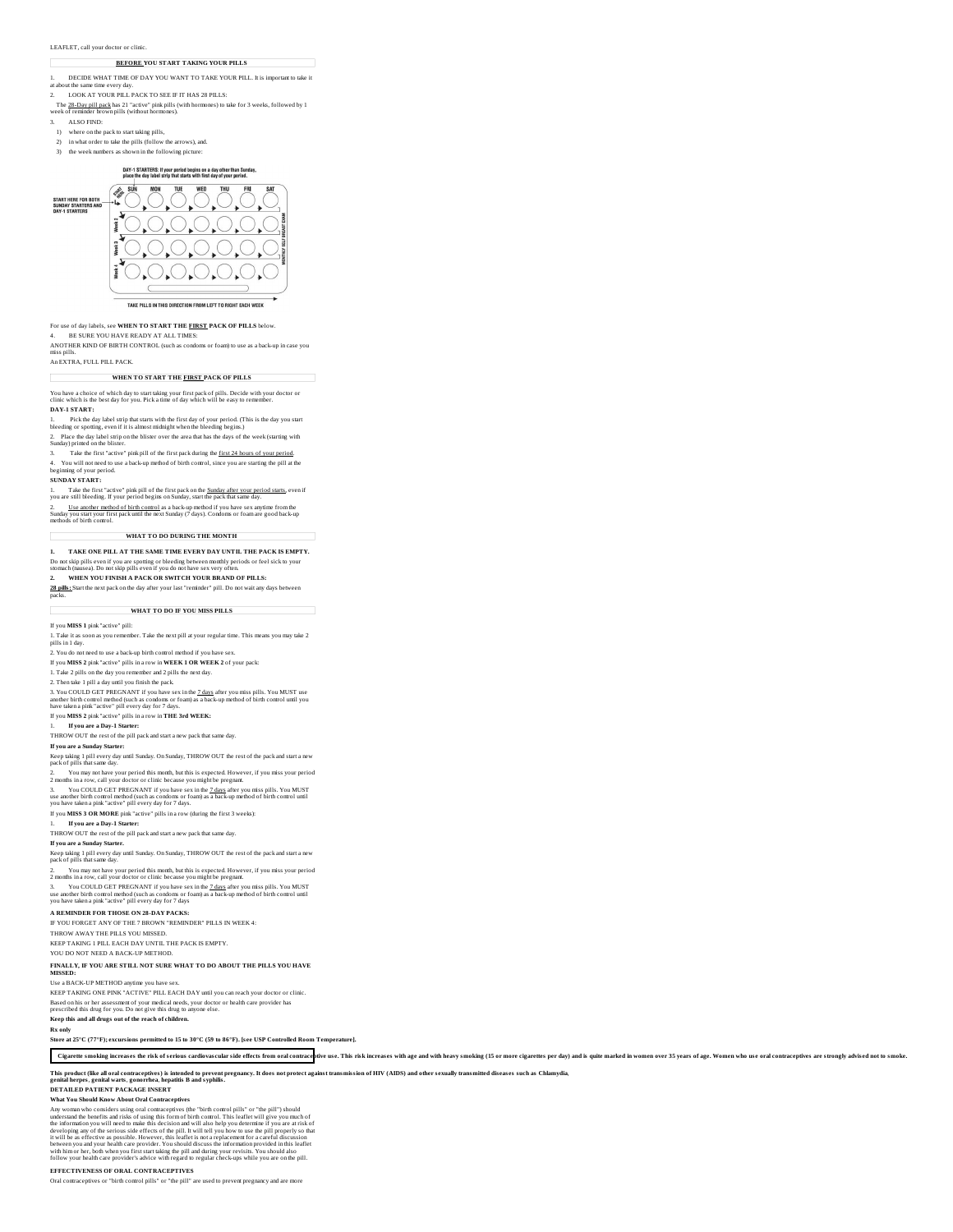### $\Gamma$ **BEFORE YOU START TAKING YOUR PILLS**

- DECIDE WHAT TIME OF DAY YOU WANT TO TAKE YOUR PILL. It is impo
- at about the same time every day. 2. LOOK AT YOUR PILL PACK TO SEE IF IT HAS 28 PILLS:
- The <u>28-Day pill pack</u> has 21 "active" pink pills (with hormones) to take for 3 weeks, followed by 1<br>week of reminder brown pills (without hormones).
- 3. ALSO FIND:
- 1) where on the pack to start taking pills,
- 2) in what order to take the pills (follow the arrows), and.
- 3) the week numbers as shown in the following picture:



### For use of day labels, see **WHEN TO START THE FIRST PACK OF PILLS** below.

4. BE SURE YOU HAVE READY AT ALL TIMES:<br>ANOTHER KIND OF BIRTH CONTROL (such as condoms or foam) to use as a back-up in case you

miss pills.<br>An EXTRA, FULL PILL PACK.

## **WHEN TO START THE FIRST PACK OF PILLS**

You have a choice of which day to start taking your first pack of pills. Decide with your doctor or<br>clinic which is the best day for you. Pick a time of day which will be easy to remember. **DAY-1 START:**

1. Pick the day label strip that starts with the first day of your period. (This is the day you start bleeding<br>bleeding or spotting, even if it is almost midnight when the bleeding begins.) 2. Place the day label strip on the blister over the area that has the days of the week (starting with Sunday) printed on the blister.

3. Take the first "active" pink pill of the first pack during the first 24 hours of your period. 4. You will not need to use a back-up method of birth control, since you are starting the pill at the beginning of your period.

**SUNDAY START:**

1. Take the first "active" pink pill of the first pack on the <u>Sunday after your period starts</u>, even if<br>you are still bleeding. If your period begins on Sunday, start the pack that same day.

2. U<u>se another method of birth control</u> as a back-up method if you have sex anytime from the<br>Sunday you start your first pack until the next Sunday (7 days). Condoms or foam are good back-up<br>methods of birth control.

## **WHAT TO DO DURING THE MONTH**

**1. TAKE ONE PILL AT THE SAME TIME EVERY DAY UNTIL THE PACK IS EMPTY.**

Do not skip pills even if you are spotting or bleeding between monthly periods or feel sick to your<br>stomach (nausea). Do not skip pills even if you do not have sex very often.

**2. WHEN YOU FINISH A PACK OR SWITCH YOUR BRAND OF PILLS:** 28 **pills:** Start the next pack on the day after your last "reminder" pill. Do not wait any days b

### packs.

Ē

**WHAT TO DO IF YOU MISS PILLS**

### If you **MISS 1** pink "active" pill:

1. Take it as soon as you remember. Take the next pill at your regular time. This means you may take 2 pills in 1 day.

2. You do not need to use a back-up birth control method if you have sex.

If you **MISS 2** pink "active" pills in a row in **WEEK 1 OR WEEK 2**of your pack: 1. Take 2 pills on the day you remember and 2 pills the next day.

2. Then take 1 pill a day until you finish the pack.

3. You COULD GET PREGNANT if you have sex in the <u>7 days</u> after you miss pills. You MUST use<br>another birth control method (such as condoms or foam) as a back-up method of birth control until you<br>have taken a pink "active"

### If you **MISS 2** pink "active" pills in a row in **THE 3rd WEEK:** 1. **If you are a Day-1 Starter:**

THROW OUT the rest of the pill pack and start a new pack that same day.

### **If you are a Sunday Starter:**

Keep taking 1 pill every day until Sunday. On Sunday, THROW OUT the rest of the pack and start a new pack of pills that same day.

2.<br>
2. You may on thave your period this month, but this is expected. However, if you mass your period<br>
2.months in a row, call your doctor or clinic because you might be pregnant.<br>
3. You COULD GET PREGNANT if you have se

1. **If you are a Day-1 Starter:** THROW OUT the rest of the pill pack and start a new pack that same day.

## **If you are a Sunday Starter.**

Keep taking 1 pill every day until Sunday. On Sunday, THROW OUT the rest of the pack and start a new pack of pills that same day.

2.<br>2. Tou may not have your period this month, but this is expected. However, if you miss your period<br>2. months in a row, call your doctor or clinic because you might be pregnant.<br>3. You COULD GET PREGNANT if you have sex

### **A REMINDER FOR THOSE ON 28-DAY PACKS:**

IF YOU FORGET ANY OF THE 7 BROWN "REMINDER" PILLS IN WEEK 4:

THROW AWAY THE PILLS YOU MISSED. KEEP TAKING 1 PILL EACH DAY UNTIL THE PACK IS EMPTY.

YOU DO NOT NEED A BACK-UP METHOD.

## **FINALLY, IF YOU ARE STILL NOT SURE WHAT TO DO ABOUT THE PILLS YOU HAVE MISSED:**

Use a BACK-UP METHOD anytime you have sex.

KEEP TAKING ONE PINK "ACTIVE" PILL EACH DAY until you can reach your doctor or clinic. Based on his or her assessment of your medical needs, your doctor or health care provider has<br>prescribed this drug for you. Do not give this drug to anyone else.

### **Keep this and all drugs out of the reach of children.**

**Rx only**

Store at 25°C (77°F); excursions permitted to 15 to 30°C (59 to 86°F). [see USP Controlled Room Temperature].

Cigarette smoking increases the risk of serious cardiovascular side effects from oral contraceptive use. This risk increases with age and with heavy smoking (15 or more cigarettes per day) and is quite marked in women over

This product (like all oral contraceptives) is intended to prevent pregnancy. It does not protect against transmission of HIV (AIDS) and other sexually transmitted diseases such as Chlamydia,<br>genital herpes, genital warts,

## **DETAILED PATIENT PACKAGE INSERT**

**What You Should Know About Oral Contraceptives**

Any woman who considers using oral contraceptives (the "birth control pills" or "the pill") should understand the benefits and risks of using his form of birth control. This leaflet will give you much of the irrorundion yo

## **EFFECTIVENESS OF ORAL CONTRACEPTIVES**

Oral contraceptives or "birth control pills" or "the pill" are used to prevent pregnancy and are more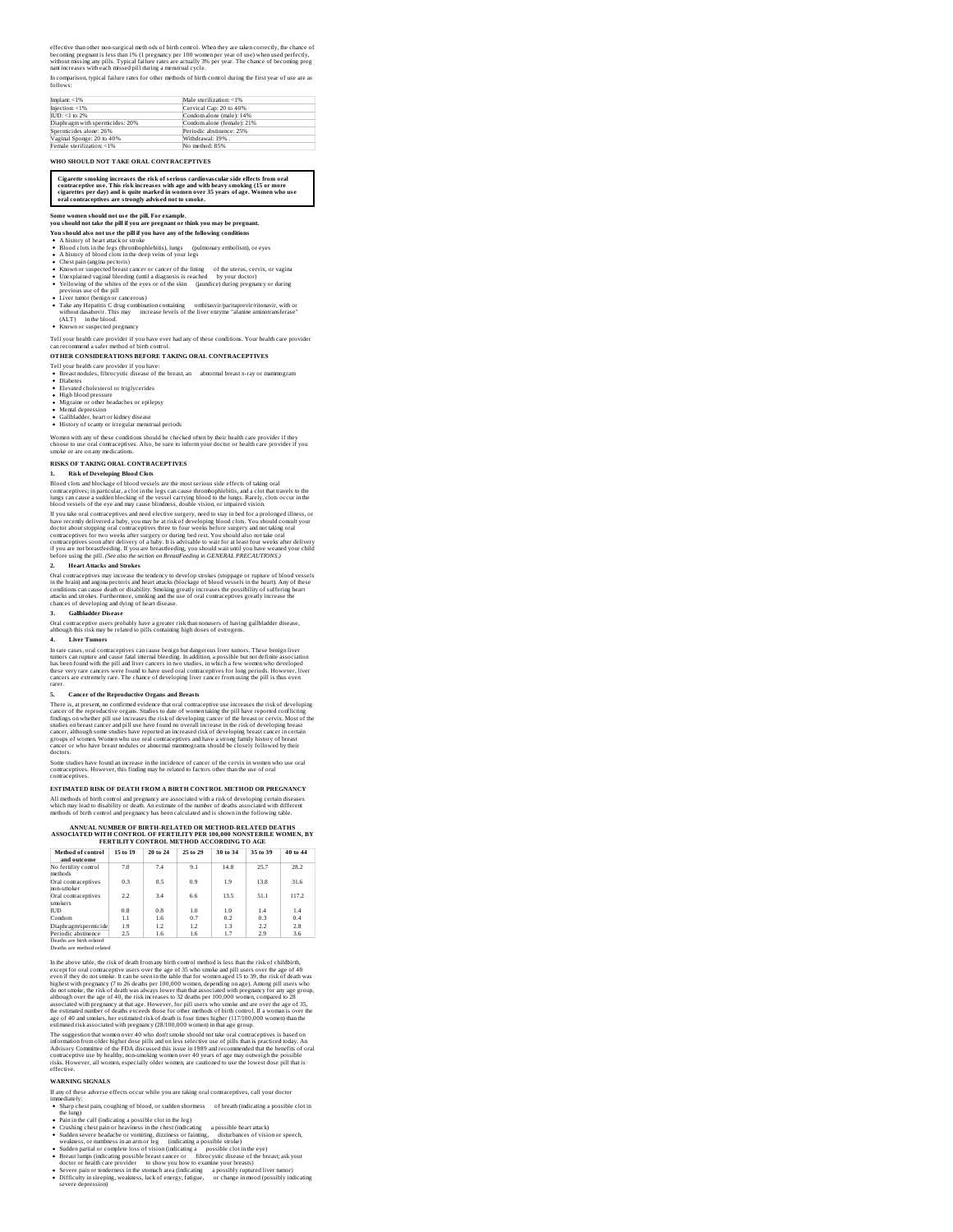ingical meth ods of birth control. When they are taken correctly, the cha becoming pregnant is less than 1% (1 pregnancy per 100 women per year of use) when used perfectly,<br>without missing any pills. Typical failure rates are actually 3% per year. The chance of becoming preg<br>nant increases with

ison, typical failure rates for other methods of birth control during the first year of use are as In compared

| Implant: < 1%                   | Male sterilization: <1%   |
|---------------------------------|---------------------------|
| Injection: <1%                  | Cervical Cap: 20 to 40%   |
| $ID: <1$ to $2\%$               | Condomalone (male): 14%   |
| Diaphragm with spermicides: 20% | Condomalone (female): 21% |
| Spermicides alone: 26%          | Periodic abstinence: 25%  |
| Vaginal Sponge: 20 to 40%       | Withdrawal: 19%.          |
| Female sterilization: <1%       | No method: 85%            |

## **WHO SHOULD NOT TAKE ORAL CONTRACEPTIVES**

# Cigarette smoking increases the risk of serious cardiovascular side effects from oral<br>contraceptive use. This risk increases with age and with heavy smoking (15 or more<br>cigarettes per day) and is quite marked in women over

**Some women should not us e the pill. For example**,

- 
- 
- you should not take the pill if you are pregnant or think you may be pregnant.<br>
You should also not use the pill if you have any of the following conditions<br>  $\bullet$ . A history of heart attack or stroke.<br>  $\bullet$  Blood clots in
- 
- 
- 
- Known or suspected pregnancy
- Tell your health care provider if you have ever had any of these conditions. Your health care provider<br>can recommend a safer method of birth control.
- **OTHER CONSIDERATIONS BEFORE TAKING ORAL CONTRACEPTIVES**

## Tell your health care provider if you have:<br>• Breast nodules, fibrocystic disease of the breast, an abnormal breast x-ray or mammogram

- Diabetes<br>Elevated cholesterol or triglycerides
- 
- High blood pressure<br>Migraine or other headaches or epilepsy<br>Mental depression<br>Gallbladder, heart or kidney disease
- 
- History of scanty or irregular menstrual periods

Women with any of these conditions should be checked often by their health care provider if they<br>choose to use oral contraceptives. Also, be sure to inform your doctor or health care provider if you<br>smoke or are on any med

## **RISKS OF TAKING ORAL CONTRACEPTIVES**

### **1. Risk of Developing Blood Clots**

Blood clots and blockage of blood vessels are the most serious side effects of taking oral<br>contraceptives; in particular, a clot in the legs can cause thrombophlebitis, and a clot that travels to the<br>lungs can cause a sudd

If you take onal contraceptives and need elective surgery, need to stay in bell for a prolonged illness, or the contract polytoper state of the contract property of the contract property of the contract property of the co

2. Heart Attacks and Strokes<br>color of evening the selection of the color of comparison of the boat points of<br>the boat of the boat parameter of the state of the state of the state<br>in the brand) and angina pectoris and heart

Oral contraceptive users probably have a greater risk than nonusers of having gallbladder disease,<br>although this risk may be related to pills containing high doses of estrogens. **4. Liver Tumors**

In rare cases, oral contraceptives can cause benign but dangerous liver tunnors. These benign liver<br>tumors can rupture and cause fatal internal bleeding. In addition, a possible but not definite association<br>has been found

### **5. Cancer of the Reproductive Organs and Breasts**

There is, at present, no confirmed evidence that oral contraceptive use increases the risk of develop cancer of the reproductive organs. Studies to date of women taking the pill have reported conflictings on whether pill use increases the risk of developing caracer of the breast or cervix. Most of the studies of breast anc doctors.

Some studies have found an increase in the incidence of cancer of the cervix in women who use oral<br>contraceptives. However, this finding may be related to factors other than the use of oral contraceptives.

# **ESTIMATED RISK OF DEATH FROM A BIRTH CONTROL METHOD OR PREGNANCY**

All methods of birth control and pregnancy are associated with a risk of developing certain diseases<br>which may lead to disability or death. An estimate of the number of deaths associated with different<br>methods of birth con

# ANNUAL NUMBER OF BIRTH-RELATED OR METHOD-RELATED DEATHS<br>ASSOCIATED WITH CONTROL OF FERTILITY PER 100,000 NONSTERILE WOMEN, BY<br>FERTILITY CONTROL METHOD ACCORDING TO AGE

| <b>Method of control</b><br>and outcome | 15 to 19 | 20 to 24 | 25 to 29       | 30 to 34       | 35 to 39 | 40 to 44       |
|-----------------------------------------|----------|----------|----------------|----------------|----------|----------------|
| No fertility control<br>methods         | 7.0      | 7.4      | 9.1            | 14.8           | 25.7     | 28.2           |
| Oral contraceptives<br>non-smoker       | 0.3      | 0.5      | 0.9            | 1.9            | 13.8     | 31.6           |
| Oral contraceptives<br>smokers          | 2.2      | 3.4      | 6.6            | 13.5           | 51.1     | 117.2          |
| <b>IUD</b>                              | 0.8      | 0.8      | 1 <sub>0</sub> | 1.0            | 1.4      | 14             |
| Condom                                  | 11       | 16       | 0.7            | 0 <sub>2</sub> | 0.3      | 0 <sub>4</sub> |
| Diaphragm'spermicide                    | 1.9      | 12       | 1.2            | 13             | 22       | 28             |
| Periodic abstinence                     | 2.5      | 1.6      | 1.6            | 1.7            | 2.9      | 3.6            |
| Deaths are birth related                |          |          |                |                |          |                |

Deaths are birth related Deaths are method related

In the above table, the risk of death from any birth control method is less than the risk of child<br>birth, except for ortal contraceptive users over the age of 35 who smoke and pill users over the age of 40<br>event if they d

The suggestion that women over 40 who don't smoke should not take oral contraceptives is based on<br>information from older higher dose pills and on less selective use of pills than is practiced today. An<br>Advisory Committee o

### **WARNING SIGNALS**

If any of these adverse effects occur while you are taking oral contraceptives, call your doctor immediately:<br>• Sharp chest pain, coughing of blood, or sudden shortness of breath (indicating a possible clot in

- the lung)<br>Pain in the calf (indicating a possible clot in the leg)
- 
- 
- 
- 
- 
- 
- Crushing chest pain or heaviers in the chest (finite<br>still engine a possible heart attack) Sudden severe headsche or vorning, dizzines<br>s or fainting,  $\alpha$  disturbances of vision or speech, we<br>alseles, or animores in an ar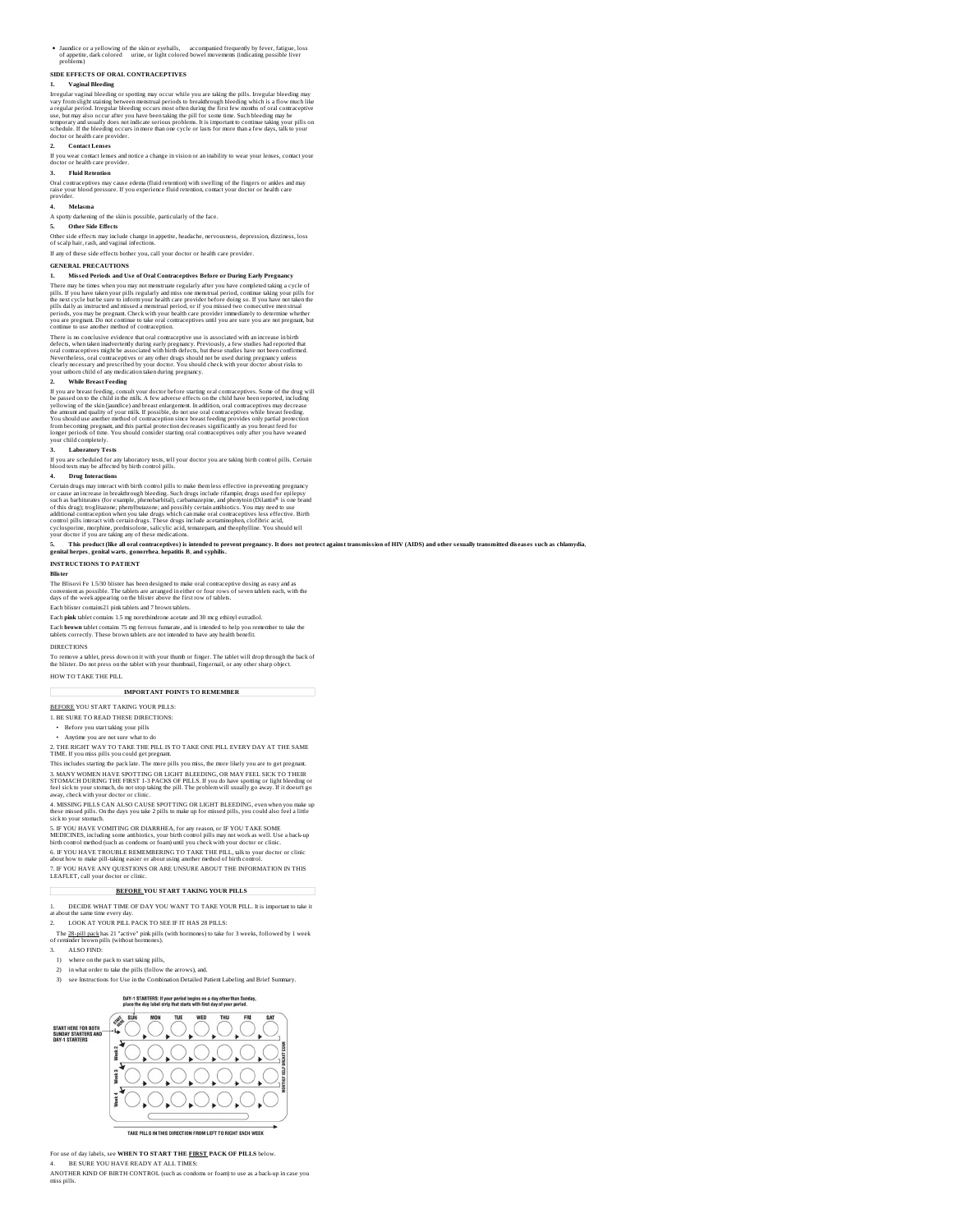Jaundice or a yellowing of the skin or eyeballs, accompanied frequently by fever, fatigue, loss<br>of appetite, dark colored urine, or light colored bowel movements (indicating possible liver<br>problems)

SIDE EFFECTS OF ORAL CONTRACEPTIVES<br>1. Vaginal Bleeding may occur while you are taking the pills. Irregular bleeding may<br>Irregular vaginal bleeding or spoting may occur while you are taking the pills. Irregular bleeding ma

### **2. Contact Lens es**

## If you wear contact lenses and notice a change in vision or an inability to wear your lenses, contact your<br>doctor or health care provider.

3. Fluid Retention<br>Oral contraceptives may cause edema (fluid retention) with swelling of the fingers or ankles and may<br>raise your blood pressure. If you experience fluid retention, contact your doctor or health care<br>provi

## **4. Melasma**

A spotty darkening of the skin is possible, particularly of the face.

**5. Other Side Effects**

Other side effects may include change in appetite, headache, nervousness, depression, dizziness, loss<br>of scalp hair, rash, and vaginal infections. If any of these side effects bother you, call your doctor or health care provider.

### **GENERAL PRECAUTIONS**

## **1. Miss ed Periods and Us e of Oral Contraceptives Before or During Early Pregnancy**

There may be times when you may not menstruate regularly after you have completed taking a cycle of<br>pills. If you have taken your pills regularly and miss one menstrual period, continue taking your pills for<br>plus and you i

There is no conclusive evideere that oral contraceptive use is associated with an increase in birth<br>defects, when taken inadvertently during early pregnancy. Previously, a few studies had reported that<br>oral contraceptives

2. While Breast Feeding, consult your doctor before starting oral contraceptives. Some of the drug will<br>If you are breast feeding, consult your doctor before starting oral contraceptives. Some of the child in the child in

### **3. Laboratory Tests**

If you are scheduled for any laboratory tests, tell your doctor you are taking birth control pills. Certain blood tests may be affected by birth control pills.

## **4. Drug Interactions**

Certain drugs may interacts with birth control pills to make then less effective in preveneing pregnancy<br>or cause an increase in breakthrough bleeding. Such drugs include rifampin; drugs used for epilepsy<br>out has barbitura ®

5. This product (like all oratraceptives) is intended to prevent pregnancy. It does not protect against transmission of HIV (AIDS) and other sexually transmitted diseases such as chlamydia,<br>genital herpes, genital war

┑

## **INSTRUCTIONS TO PATIENT**

**Blister**

The Blisovi Fe 1.5/30 blister has been designed to make oral contraceptive dosing as easy and as<br>convenient as possible. The tablets are arranged in either or four rows of seven tablets each, with the<br>days of the week appe

Each blister contains21 pink tablets and 7 brown tablets. Each **pink** tablet contains 1.5 mg norethindrone acetate and 30 mcg ethinyl estradiol.

Each **brown** tablet contains 75 mg ferrous fumarate, and is intended to help you remember to take the<br>tablets correctly. These brown tablets are not intended to have any health benefit.

### DIRECTIONS

To remove a tablet, press down on it with your thumb or finger. The tablet will drop through the back of<br>the blister. Do not press on the tablet with your thumbnail, fingernail, or any other sharp object.

## HOW TO TAKE THE PILL

Ē **IMPORTANT POINTS TO REMEMBER**

## BEFORE YOU START TAKING YOUR PILLS:

1. BE SURE TO READ THESE DIRECTIONS:

• Before you start taking your pills

• Anytime you are not sure what to do

2. THE RIGHT WAY TO TAKE THE PILL IS TO TAKE ONE PILL EVERY DAY AT THE SAME<br>TIME. If you miss pills you could get pregnant.<br>This includes starting the pack late. The more pills you miss, the more likely you are to get preg

3. MANY WOMEN HAVE SPOTTING OR LIGHT BLEEDING, OR MAY FEEL SICK TO THEIR<br>STOMACH DURING THE FIRST 1-3 PACKS OF PILLS. If you do have spotting or light bleeding or<br>feel sick to your stonach, do not stop taking the pill. The

4. MISSING PILLS CAN ALSO CAUSE SPOTTING OR LIGHT BLEEDING, even when you make up these missed pills. On the days you take 2 pills to make up for missed pills, you could also feel a little

sick to your stomach.<br>IS. IF YOU HAVE VOMITING OR DIARRHEA, for any reason, or IF YOU TAKE SOME<br>MEDICINES, including some antibiotics, your birth control pills may not work as well. Use a back-up<br>birth control method (such

6. IF YOU HAVE TROUBLE REMEMBERING TO TAKE THE PILL, talk to your doctor or clinic about how to make pill-taking easier or about using another method of birth control.

7. IF YOU HAVE ANY QUESTIONS OR ARE UNSURE ABOUT THE INFORMATION IN THIS<br>LEAFLET, call your doctor or clinic.

### Г **BEFORE YOU START TAKING YOUR PILLS**

1. DECIDE WHAT TIME OF DAY YOU WANT TO TAKE YOUR PILL. It is important to take it at about the same time every day.

2. LOOK AT YOUR PILL PACK TO SEE IF IT HAS 28 PILLS:

The <u>28-pill pack</u> has 21 "active" pink pills (with hormones) to take for 3 weeks, followed by 1 week<br>of reminder brown pills (without hormones).<br>3. ALSO FIND:

1) where on the pack to start taking pills

2) in what order to take the pills (follow the arrows), and.

3) see Instructions for Use in the Combination Detailed Patient Labeling and Brief Summary.

## DAY-1 STARTERS: If your period begins on a day other than Sunday<br>place the day label strip that starts with first day of your period.



## For use of day labels, see **WHEN TO START THE FIRST PACK OF PILLS** below. 4. BE SURE YOU HAVE READY AT ALL TIMES:

ANOTHER KIND OF BIRTH CONTROL (such as condoms or foam) to use as a back-up in case you miss pills.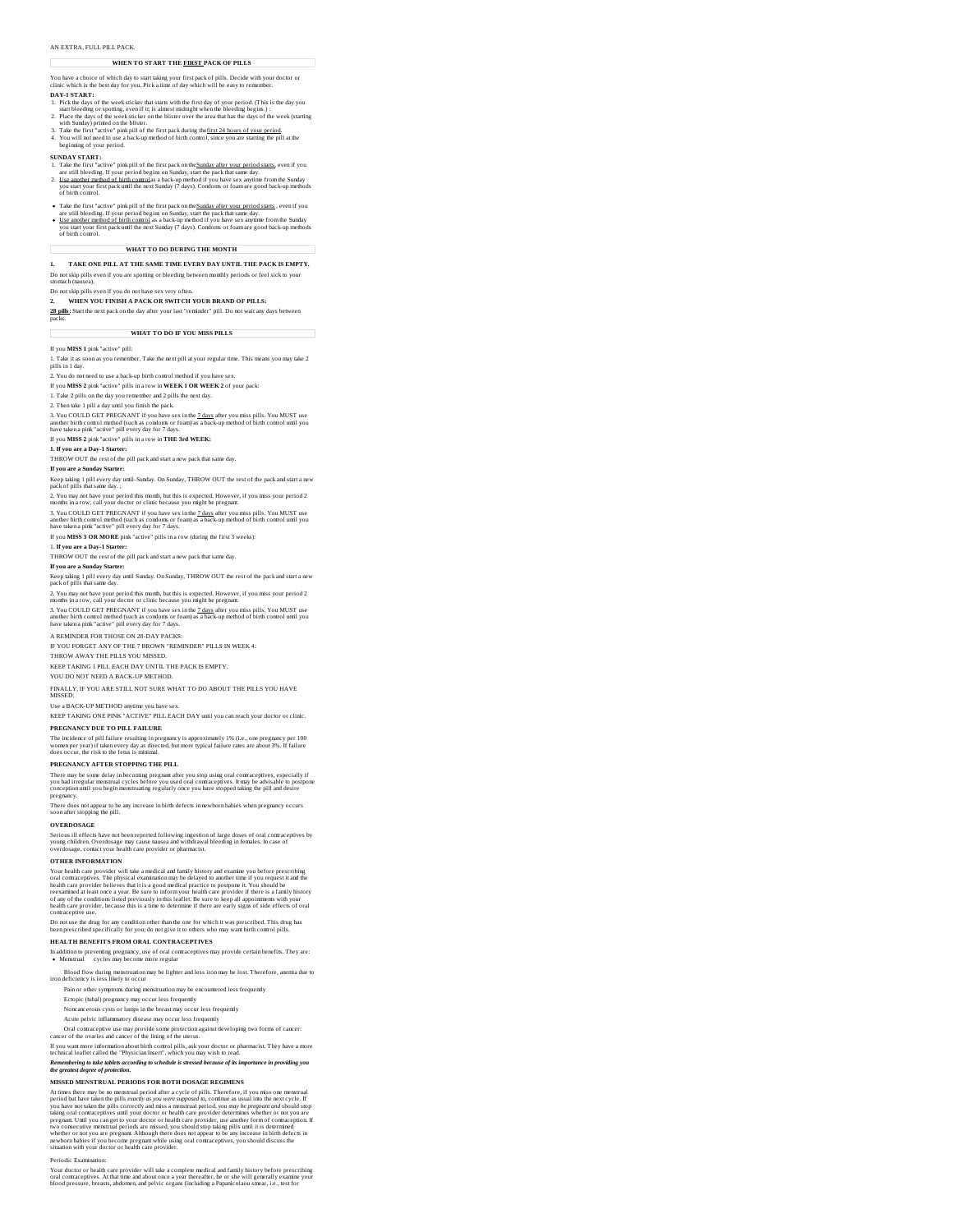### AN EXTRA, FULL PILL PACK.

## **WHEN TO START THE FIRST PACK OF PILLS**

You have a choice of which day to start taking your first pack of pills. Decide with your doctor or<br>clinic which is the best day for you. Pick a time of day which will be easy to remember.

- 
- **DAY -1 START:** 1. Phone that states with the first day of your period. (This is the day so the week sticker that starts with the first day of your start bleeding begins.) the comparing even if it is almost midding twelon
- 
- 

- SUNDAY START:<br>
1. Take the first "active" pink pill of the first pack on the Sunday after your period starts, even if you<br>
are still bleeding. If your period of legiting on Sunday, start the pack that same day.<br>
2. <u>Use a</u>
- 
- Take the first "active" pink pill of the first pack on the Sunday after your period starts , even if you are still bleeding. If your period begins on Sunday start the pack that same day
- are still bleeding. If your period begins on Sunday, start the pack that same day.<br>Use another method of birth control as a back-up method if you have sex anytime from the Sunday<br>you start your first pack until the next Su

### П **WHAT TO DO DURING THE MONTH**

**1. TAKE ONE PILL AT THE SAME TIME EVERY DAY UNTIL THE PACK IS EMPTY.** Do not skip pills even if you are spotting or bleeding between monthly periods or feel sick to your<br>stomach (nausea).

## Do not skip pills even if you do not have sex very often. **2. WHEN YOU FINISH A PACK OR SWITCH YOUR BRAND OF PILLS:**

**28 pills:** Start the next pack on the day after your last "reminder" pill. Do not wait any days between packs.

### Ē **WHAT TO DO IF YOU MISS PILLS**

If you **MISS 1** pink "active" pill:

1. Take it as soon as you remember. Take the next pill at your regular time. This means you may take 2 pills in 1 day.

2. You do not need to use a back-up birth control method if you have sex.

If you **MISS 2** pink "active" pills in a row in **WEEK 1 OR WEEK 2**of your pack: 1. Take 2 pills on the day you remember and 2 pills the next day.

2. Then take 1 pill a day until you finish the pack.<br>3. You COULD GET PREGNANT if you have sex in the <u>7 days</u> after you miss pills. You MUST use<br>another birth control method (such as condoms or foam) as a back-up method o

If you **MISS 2** pink "active" pills in a row in **THE 3rd WEEK:**

**1. If you are a Day-1 Starter:**

THROW OUT the rest of the pill pack and start a new pack that same day. **If you are a Sunday Starter:**

Keep taking 1 pill every day until-Sunday. On Sunday, THROW OUT the rest of the pack and start a new pack of pills that same day. ;

2. You may not have your period this month, but this is expected. However, if you miss your period 2<br>months in a row, call your doctor or clinic because you might be pregnant.

3. You COULD GET PREGNANT if you have sex in the <u>7 days</u> after you miss pills. You MUST use<br>another birth control method (such as condoms or foam) as a back-up method of birth control until you<br>have taken a pink "active"

## If you **MISS 3 OR MORE** pink "active" pills in a row (during the first 3 weeks):

1. **If you are a Day-1 Starter:**

THROW OUT the rest of the pill pack and start a new pack that same day.<br>If you are a Sunday Starter:

**If you are a Sunday Starter:**<br>Keep taking 1 pill every day until Sunday. On Sunday, THROW OUT the rest of the pack and start a new<br>pack of pills that same day.

2. You may not have your period this month, but this is expected. However, if you miss your period 2<br>months in a row, call your doctor or clinic because you might be pregnant.

3. You COULD GET PREGNANT if you have sex in the <u>7 days</u> after you miss pills. You MUST use<br>another birth control method (such as condoms or foam) as a back-up method of birth control until you<br>have taken a pink "active"

A REMINDER FOR THOSE ON 28-DAY PACKS:

IF YOU FORGET ANY OF THE 7 BROWN "REMINDER" PILLS IN WEEK 4:

THROW AWAY THE PILLS YOU MISSED.<br>KEEP TAKING 1 PILL EACH DAY UNTIL THE PACK IS EMPTY.

YOU DO NOT NEED A BACK-UP METHOD.

FINALLY, IF YOU ARE STILL NOT SURE WHAT TO DO ABOUT THE PILLS YOU HAVE MISSED:<br>Use a BACK-UP METHOD anytime you have sex.<br>KEEP TAKING ONE PINK "ACTIVE" PILL EACH DAY until you can reach your doctor or clinic.

## **PREGNANCY DUE TO PILL FAILURE**

The incidence of pill failure resulting in pregnancy is approximately 1% (i.e., one pregnancy per 100<br>women per year) if taken every day as directed, but more typical failure rates are about 3%. If failure<br>does occur, the

**PREGNANCY AFTER STOPPING THE PILL**<br>There may be some delay in becoming pregnant after you stop using oral contraceptives, especially if<br>you had irregular menstrual cycles before you used oral contraceptives. It may be adv

There does not appear to be any increase in birth defects in newborn babies when pregnancy occurs soon after stopping the pill.

## **OVERDOSAGE**

Serious ill effects have not been reported following ingestion of large doses of oral contraceptives by<br>young children. Overdosage may cause nausea and withdrawal bleeding in females. In case of<br>overdosage, contact your he

### **OTHER INFORMATION**

Your health care provider will take a medical and family history and examine you before prescribing<br>for a control contract property and the property of the state of the state of the state of the state of the state of the s

## Do not use the drug for any condition other than the one for which it was prescribed. This drug has<br>been prescribed specifically for you; do not give it to others who may want birth control pills.

**HEALTH BENEFITS FROM ORAL CONTRACEPTIVES**

In addition to preventing pregnancy, use of oral contraceptives may provide certain benefits. They are: Menstrual cycles may become more regular

Blood flow during menstruation may be lighter and less iron may be lost. Therefore, anemia due to iron deficiency is less likely to occur

## Pain or other symptoms during menstruation may be encountered less frequently

Ectopic (tubal) pregnancy may occur less frequently

Noncancerous cysts or lumps in the breast may occur less frequently<br>Acute pelvic inflammatory disease may occur less frequently

Oral contraceptive use may provide some protection against developing two forms of cancer: cancer of the ovaries and cancer of the lining of the uterus.

If you want more information about birth control pills, ask your doctor or pharmacist. They have a more technical leaflet called the "Physician Insert", which you may wish to read.

Remembering to take tablets according to schedule is stressed because of its importance in providing you<br>the greatest degree of protection.

### **MISSED MENSTRUAL PERIODS FOR BOTH DOSAGE REGIMENS**

At times there may be no mentstual period after a cycle of pills . Therefore, if you miss one menstual period but have taken the pills concrete particular period. The period is the metally controlled the particular period

### Periodic Examination:

Your doctor or health care provider will take a complete medical and family history before prescribing<br>oral contraceptives. At that time and about once a year thereafter, he or she will generally examine your<br>blood pressur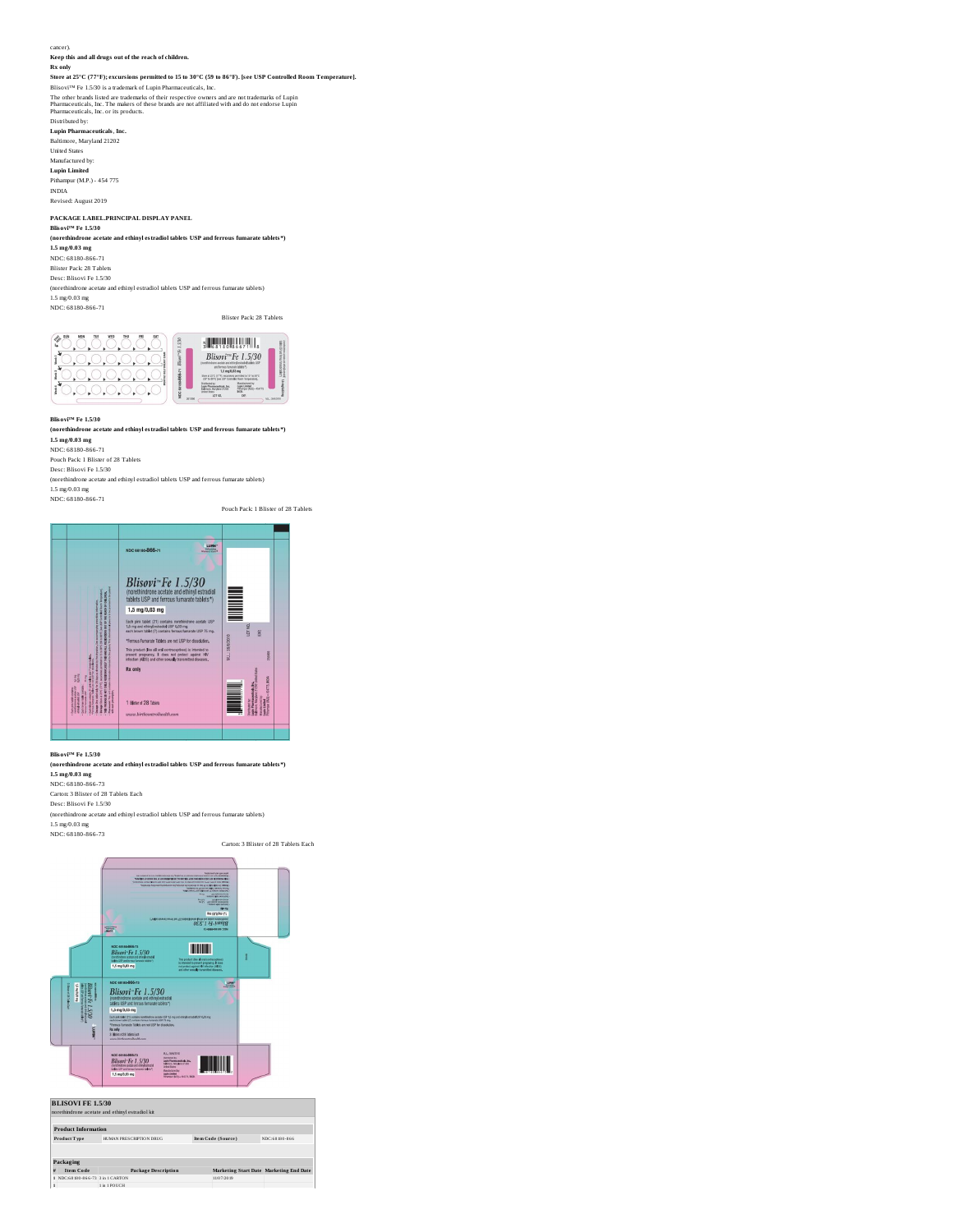cancer).

### **Keep this and all drugs out of the reach of children. Rx only**

ta v.n.y<br>Store at 25°C (77°F); excursions permitted to 15 to 30°C (59 to 86°F). [see USP Controlled Room Temperature].

Blisovi™ Fe 1.5/30 is a trademark of Lupin Pharmaceuticals, Inc.<br>The other brands listed are trademarks of their respective owners and are not trademarks of Lupin<br>Pharmaceuticals, Inc. The makers of these brands are not a

Distributed by: **Lupin Pharmaceuticals**, **Inc.** Baltimore, Maryland 21202

United States Manufactured by:

**Lupin Limited** Pithampur (M.P.) - 454 775 INDIA Revised: August 2019

**PACKAGE LABEL.PRINCIPAL DISPLAY PANEL**

## **Blisovi™ Fe 1.5/30 (norethindrone acetate and ethinyl estradiol tablets USP and ferrous fumarate tablets\*)**

**1.5 mg/0.03 mg** NDC: 68180-866-71

Blister Pack: 28 Tablets Desc: Blisovi Fe 1.5/30

(norethindrone acetate and ethinyl estradiol tablets USP and ferrous fumarate tablets) 1.5 mg/0.03 mg

NDC: 68180-866-71

Blister Pack: 28 Tablets



**Blisovi™ Fe 1.5/30**

**(norethindrone acetate and ethinyl estradiol tablets USP and ferrous fumarate tablets\*) 1.5 mg/0.03 mg** NDC: 68180-866-71

Pouch Pack: 1 Blister of 28 Tablets<br>Desc: Blisovi Fe 1.5/30

(norethindrone acetate and ethinyl estradiol tablets USP and ferrous fumarate tablets) 1.5 mg/0.03 mg

NDC: 68180-866-71

Pouch Pack: 1 Blister of 28 Tablets



### **Blisovi™ Fe 1.5/30**

**(norethindrone acetate and ethinyl estradiol tablets USP and ferrous fumarate tablets\*) 1.5 mg/0.03 mg** NDC: 68180-866-73

Carton: 3 Blister of 28 Tablets Each

Desc: Blisovi Fe 1.5/30

(norethindrone acetate and ethinyl estradiol tablets USP and ferrous fumarate tablets)

1.5 mg/0.03 mg NDC: 68180-866-73

Carton: 3 Blister of 28 Tablets Each